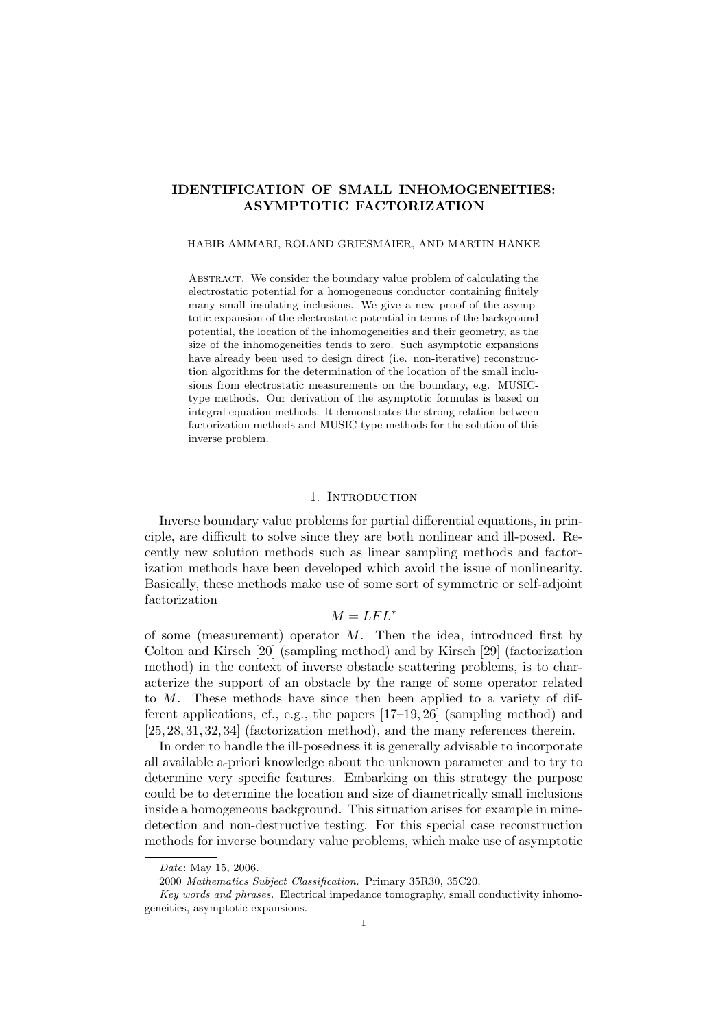# IDENTIFICATION OF SMALL INHOMOGENEITIES: ASYMPTOTIC FACTORIZATION

#### HABIB AMMARI, ROLAND GRIESMAIER, AND MARTIN HANKE

ABSTRACT. We consider the boundary value problem of calculating the electrostatic potential for a homogeneous conductor containing finitely many small insulating inclusions. We give a new proof of the asymptotic expansion of the electrostatic potential in terms of the background potential, the location of the inhomogeneities and their geometry, as the size of the inhomogeneities tends to zero. Such asymptotic expansions have already been used to design direct (i.e. non-iterative) reconstruction algorithms for the determination of the location of the small inclusions from electrostatic measurements on the boundary, e.g. MUSICtype methods. Our derivation of the asymptotic formulas is based on integral equation methods. It demonstrates the strong relation between factorization methods and MUSIC-type methods for the solution of this inverse problem.

#### 1. INTRODUCTION

Inverse boundary value problems for partial differential equations, in principle, are difficult to solve since they are both nonlinear and ill-posed. Recently new solution methods such as linear sampling methods and factorization methods have been developed which avoid the issue of nonlinearity. Basically, these methods make use of some sort of symmetric or self-adjoint factorization

## $M = LFL^*$

of some (measurement) operator  $M$ . Then the idea, introduced first by Colton and Kirsch [20] (sampling method) and by Kirsch [29] (factorization method) in the context of inverse obstacle scattering problems, is to characterize the support of an obstacle by the range of some operator related to M. These methods have since then been applied to a variety of different applications, cf., e.g., the papers [17–19, 26] (sampling method) and [25, 28, 31, 32, 34] (factorization method), and the many references therein.

In order to handle the ill-posedness it is generally advisable to incorporate all available a-priori knowledge about the unknown parameter and to try to determine very specific features. Embarking on this strategy the purpose could be to determine the location and size of diametrically small inclusions inside a homogeneous background. This situation arises for example in minedetection and non-destructive testing. For this special case reconstruction methods for inverse boundary value problems, which make use of asymptotic

Date: May 15, 2006.

<sup>2000</sup> Mathematics Subject Classification. Primary 35R30, 35C20.

Key words and phrases. Electrical impedance tomography, small conductivity inhomogeneities, asymptotic expansions.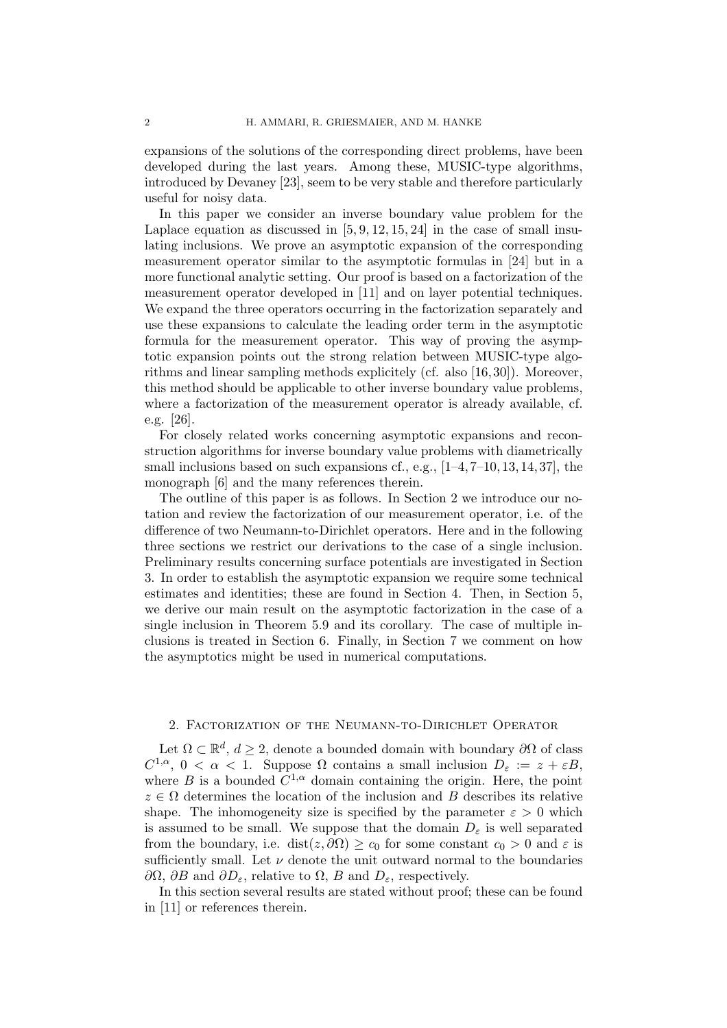expansions of the solutions of the corresponding direct problems, have been developed during the last years. Among these, MUSIC-type algorithms, introduced by Devaney [23], seem to be very stable and therefore particularly useful for noisy data.

In this paper we consider an inverse boundary value problem for the Laplace equation as discussed in  $[5, 9, 12, 15, 24]$  in the case of small insulating inclusions. We prove an asymptotic expansion of the corresponding measurement operator similar to the asymptotic formulas in [24] but in a more functional analytic setting. Our proof is based on a factorization of the measurement operator developed in [11] and on layer potential techniques. We expand the three operators occurring in the factorization separately and use these expansions to calculate the leading order term in the asymptotic formula for the measurement operator. This way of proving the asymptotic expansion points out the strong relation between MUSIC-type algorithms and linear sampling methods explicitely (cf. also [16, 30]). Moreover, this method should be applicable to other inverse boundary value problems, where a factorization of the measurement operator is already available, cf. e.g. [26].

For closely related works concerning asymptotic expansions and reconstruction algorithms for inverse boundary value problems with diametrically small inclusions based on such expansions cf., e.g.,  $[1-4, 7-10, 13, 14, 37]$ , the monograph [6] and the many references therein.

The outline of this paper is as follows. In Section 2 we introduce our notation and review the factorization of our measurement operator, i.e. of the difference of two Neumann-to-Dirichlet operators. Here and in the following three sections we restrict our derivations to the case of a single inclusion. Preliminary results concerning surface potentials are investigated in Section 3. In order to establish the asymptotic expansion we require some technical estimates and identities; these are found in Section 4. Then, in Section 5, we derive our main result on the asymptotic factorization in the case of a single inclusion in Theorem 5.9 and its corollary. The case of multiple inclusions is treated in Section 6. Finally, in Section 7 we comment on how the asymptotics might be used in numerical computations.

#### 2. Factorization of the Neumann-to-Dirichlet Operator

Let  $\Omega \subset \mathbb{R}^d$ ,  $d \geq 2$ , denote a bounded domain with boundary  $\partial \Omega$  of class  $C^{1,\alpha}, 0 < \alpha < 1$ . Suppose  $\Omega$  contains a small inclusion  $D_{\varepsilon} := z + \varepsilon B$ , where B is a bounded  $C^{1,\alpha}$  domain containing the origin. Here, the point  $z \in \Omega$  determines the location of the inclusion and B describes its relative shape. The inhomogeneity size is specified by the parameter  $\varepsilon > 0$  which is assumed to be small. We suppose that the domain  $D_{\varepsilon}$  is well separated from the boundary, i.e. dist $(z, \partial \Omega) \ge c_0$  for some constant  $c_0 > 0$  and  $\varepsilon$  is sufficiently small. Let  $\nu$  denote the unit outward normal to the boundaries  $\partial\Omega$ ,  $\partial B$  and  $\partial D_{\varepsilon}$ , relative to  $\Omega$ ,  $B$  and  $D_{\varepsilon}$ , respectively.

In this section several results are stated without proof; these can be found in [11] or references therein.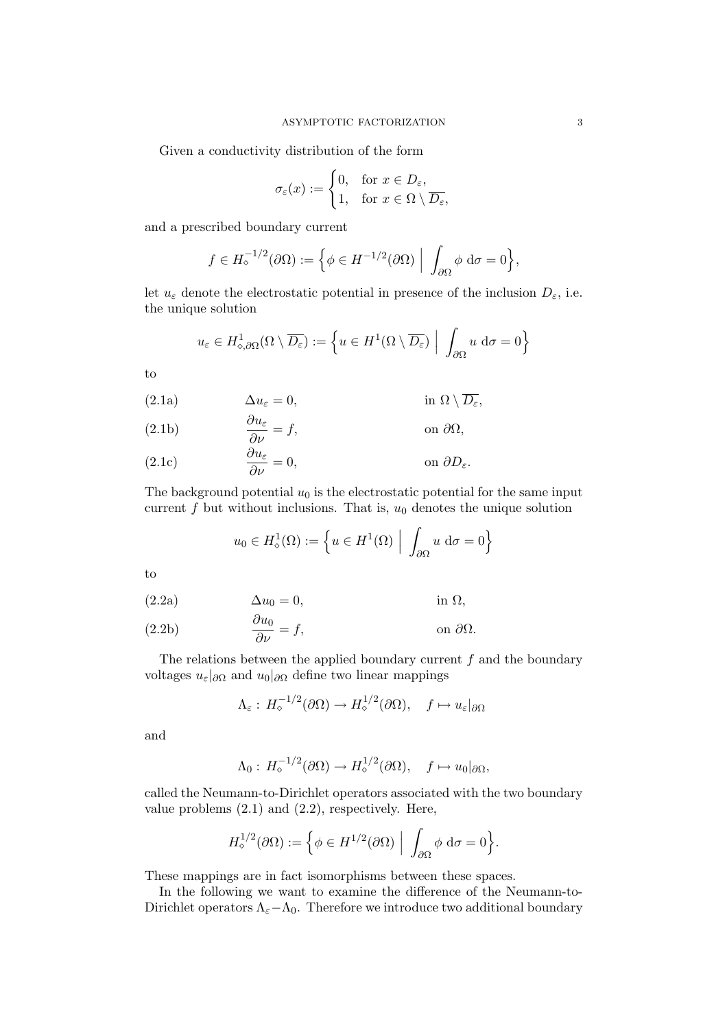Given a conductivity distribution of the form

$$
\sigma_{\varepsilon}(x) := \begin{cases} 0, & \text{for } x \in D_{\varepsilon}, \\ 1, & \text{for } x \in \Omega \setminus \overline{D_{\varepsilon}}, \end{cases}
$$

and a prescribed boundary current

$$
f \in H_{\diamond}^{-1/2}(\partial \Omega) := \left\{ \phi \in H^{-1/2}(\partial \Omega) \middle| \int_{\partial \Omega} \phi \, d\sigma = 0 \right\},\
$$

let  $u_{\varepsilon}$  denote the electrostatic potential in presence of the inclusion  $D_{\varepsilon}$ , i.e. the unique solution

$$
u_{\varepsilon} \in H^1_{\diamond, \partial \Omega}(\Omega \setminus \overline{D_{\varepsilon}}) := \left\{ u \in H^1(\Omega \setminus \overline{D_{\varepsilon}}) \middle| \int_{\partial \Omega} u \, d\sigma = 0 \right\}
$$

to

(2.1a) 
$$
\Delta u_{\varepsilon} = 0, \qquad \text{in } \Omega \setminus \overline{D_{\varepsilon}},
$$

(2.1b) 
$$
\frac{\partial u_{\varepsilon}}{\partial \nu} = f, \qquad \text{on } \partial \Omega,
$$

(2.1c) 
$$
\frac{\partial u_{\varepsilon}}{\partial \nu} = 0, \qquad \text{on } \partial D_{\varepsilon}.
$$

The background potential  $u_0$  is the electrostatic potential for the same input current  $f$  but without inclusions. That is,  $u_0$  denotes the unique solution

$$
u_0 \in H^1_\diamond(\Omega) := \left\{ u \in H^1(\Omega) \middle| \int_{\partial \Omega} u \, d\sigma = 0 \right\}
$$

to

$$
(2.2a) \t\t \Delta u_0 = 0, \t\t \text{in } \Omega,
$$

(2.2b) 
$$
\frac{\partial u_0}{\partial \nu} = f, \qquad \text{on } \partial \Omega.
$$

The relations between the applied boundary current  $f$  and the boundary voltages  $u_{\varepsilon}|\partial\Omega}$  and  $u_0|\partial\Omega}$  define two linear mappings

$$
\Lambda_{\varepsilon}: H_{\diamond}^{-1/2}(\partial\Omega) \to H_{\diamond}^{1/2}(\partial\Omega), \quad f \mapsto u_{\varepsilon}|_{\partial\Omega}
$$

and

$$
\Lambda_0: H_\diamond^{-1/2}(\partial\Omega) \to H_\diamond^{1/2}(\partial\Omega), \quad f \mapsto u_0|_{\partial\Omega},
$$

called the Neumann-to-Dirichlet operators associated with the two boundary value problems (2.1) and (2.2), respectively. Here,

$$
H_{\diamond}^{1/2}(\partial\Omega) := \Big\{ \phi \in H^{1/2}(\partial\Omega) \Big| \int_{\partial\Omega} \phi \, d\sigma = 0 \Big\}.
$$

These mappings are in fact isomorphisms between these spaces.

In the following we want to examine the difference of the Neumann-to-Dirichlet operators  $\Lambda_{\varepsilon}-\Lambda_{0}$ . Therefore we introduce two additional boundary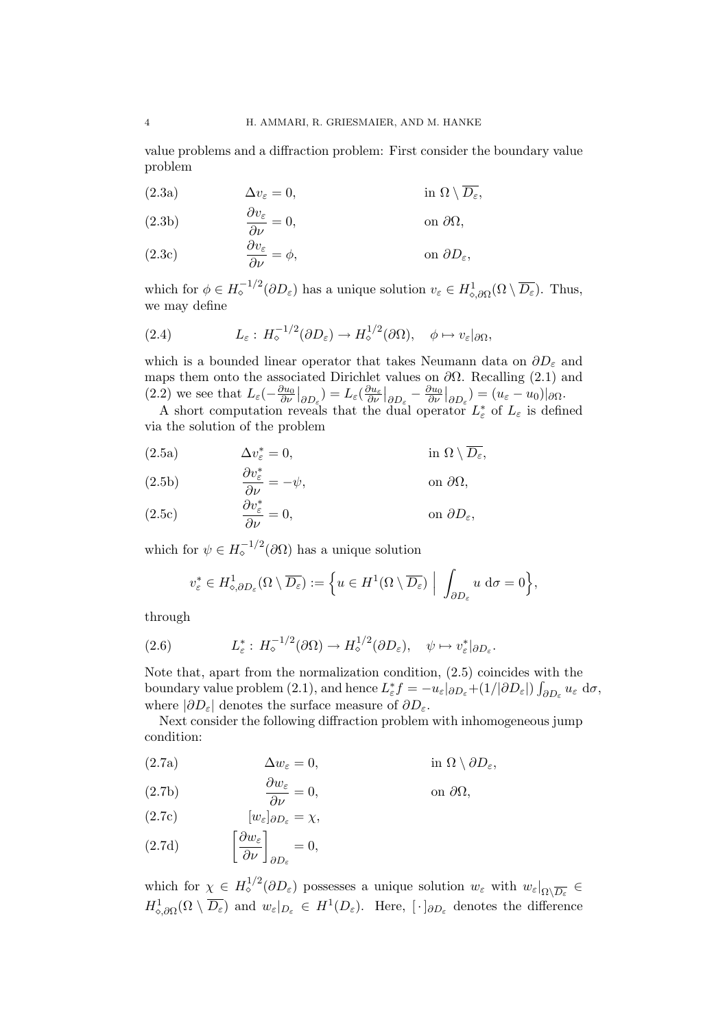value problems and a diffraction problem: First consider the boundary value problem

(2.3a)  $\Delta v_{\varepsilon} = 0$ ,  $\text{in } \Omega \setminus \overline{D_{\varepsilon}}$ ,

(2.3b) 
$$
\frac{\partial v_{\varepsilon}}{\partial \nu} = 0, \qquad \text{on } \partial \Omega,
$$

(2.3c) 
$$
\frac{\partial v_{\varepsilon}}{\partial \nu} = \phi, \qquad \text{on } \partial D_{\varepsilon},
$$

which for  $\phi \in H_{\circ}^{-1/2}(\partial D_{\varepsilon})$  has a unique solution  $v_{\varepsilon} \in H_{\circ, \partial \Omega}^1(\Omega \setminus \overline{D_{\varepsilon}})$ . Thus, we may define

(2.4) 
$$
L_{\varepsilon}: H_{\diamond}^{-1/2}(\partial D_{\varepsilon}) \to H_{\diamond}^{1/2}(\partial \Omega), \quad \phi \mapsto v_{\varepsilon}|_{\partial \Omega},
$$

which is a bounded linear operator that takes Neumann data on  $\partial D_{\varepsilon}$  and maps them onto the associated Dirichlet values on  $\partial\Omega$ . Recalling (2.1) and  $(2.2)$  we see that  $L_{\varepsilon}(-\frac{\partial u_0}{\partial \nu})$  $\frac{\partial u_0}{\partial \nu}\big|_{\partial D_\varepsilon}\big)=L_\varepsilon(\frac{\partial u_\varepsilon}{\partial \nu}\big|_{\partial D_\varepsilon}-\frac{\partial u_0}{\partial \nu}\big|_{\partial D_\varepsilon}$  $\frac{\partial u_0}{\partial \nu}\big|_{\partial D_\varepsilon}\big) = (u_\varepsilon - u_0)|_{\partial \Omega}.$ 

A short computation reveals that the dual operator  $L_{\varepsilon}^*$  of  $L_{\varepsilon}$  is defined via the solution of the problem

(2.5a) 
$$
\Delta v_{\varepsilon}^* = 0, \qquad \text{in } \Omega \setminus \overline{D_{\varepsilon}},
$$

(2.5b)  
\n
$$
\frac{\partial v_{\varepsilon}^{*}}{\partial \nu} = -\psi, \qquad \text{on } \partial \Omega,
$$
\n
$$
\frac{\partial v_{\varepsilon}^{*}}{\partial \nu} = 0, \qquad \text{on } \partial D_{\varepsilon},
$$

which for  $\psi \in H_{\circ}^{-1/2}(\partial \Omega)$  has a unique solution

$$
v_{\varepsilon}^* \in H_{\diamond, \partial D_{\varepsilon}}^1(\Omega \setminus \overline{D_{\varepsilon}}) := \left\{ u \in H^1(\Omega \setminus \overline{D_{\varepsilon}}) \middle| \int_{\partial D_{\varepsilon}} u \, d\sigma = 0 \right\},\
$$

through

(2.6) 
$$
L_{\varepsilon}^{*}: H_{\diamond}^{-1/2}(\partial \Omega) \to H_{\diamond}^{1/2}(\partial D_{\varepsilon}), \quad \psi \mapsto v_{\varepsilon}^{*}|_{\partial D_{\varepsilon}}.
$$

Note that, apart from the normalization condition, (2.5) coincides with the boundary value problem (2.1), and hence  $L_{\varepsilon}^* f = -u_{\varepsilon}|_{\partial D_{\varepsilon}} + (1/|\partial D_{\varepsilon}|) \int_{\partial D_{\varepsilon}} u_{\varepsilon} d\sigma$ , where  $|\partial D_{\varepsilon}|$  denotes the surface measure of  $\partial D_{\varepsilon}$ .

Next consider the following diffraction problem with inhomogeneous jump condition:

(2.7a) 
$$
\Delta w_{\varepsilon} = 0, \qquad \text{in } \Omega \setminus \partial D_{\varepsilon},
$$

(2.7b) 
$$
\frac{\partial w_{\varepsilon}}{\partial \nu} = 0, \qquad \text{on } \partial \Omega,
$$

(2.7c)  $[w_{\varepsilon}]_{\partial D_{\varepsilon}} = \chi,$ 

(2.7d) 
$$
\left[\frac{\partial w_{\varepsilon}}{\partial \nu}\right]_{\partial D_{\varepsilon}} = 0,
$$

which for  $\chi \in H^{1/2}_\diamond(\partial D_\varepsilon)$  possesses a unique solution  $w_\varepsilon$  with  $w_\varepsilon|_{\Omega \setminus \overline{D_\varepsilon}} \in$  $H^1_{\diamond, \partial\Omega}(\Omega \setminus \overline{D_\varepsilon})$  and  $w_\varepsilon|_{D_\varepsilon} \in H^1(D_\varepsilon)$ . Here,  $[\cdot]_{\partial D_\varepsilon}$  denotes the difference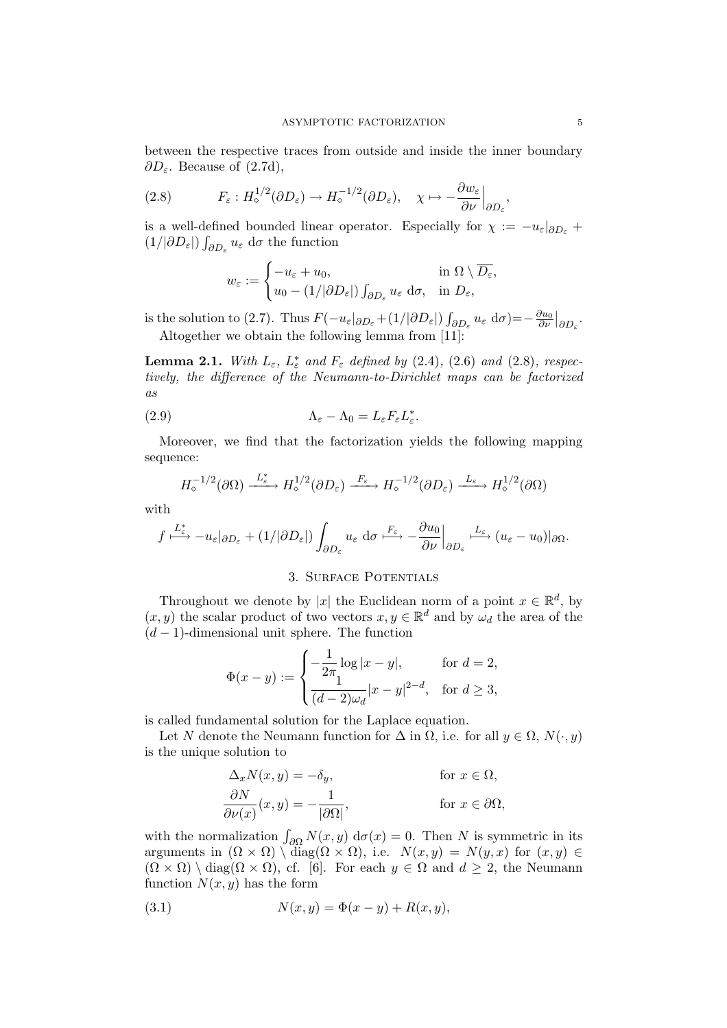between the respective traces from outside and inside the inner boundary  $\partial D_{\varepsilon}$ . Because of (2.7d),

$$
(2.8) \tF_{\varepsilon}: H_{\diamond}^{1/2}(\partial D_{\varepsilon}) \to H_{\diamond}^{-1/2}(\partial D_{\varepsilon}), \quad \chi \mapsto -\frac{\partial w_{\varepsilon}}{\partial \nu}\Big|_{\partial D_{\varepsilon}},
$$

is a well-defined bounded linear operator. Especially for  $\chi := -u_{\varepsilon}|_{\partial D_{\varepsilon}} +$  $(1/|\partial D_{\varepsilon}|)\int_{\partial D_{\varepsilon}} u_{\varepsilon} d\sigma$  the function

$$
w_{\varepsilon} := \begin{cases} -u_{\varepsilon} + u_0, & \text{in } \Omega \setminus \overline{D_{\varepsilon}}, \\ u_0 - (1/|\partial D_{\varepsilon}|) \int_{\partial D_{\varepsilon}} u_{\varepsilon} \, \mathrm{d}\sigma, & \text{in } D_{\varepsilon}, \end{cases}
$$

is the solution to (2.7). Thus  $F(-u_{\varepsilon}|_{\partial D_{\varepsilon}}+(1/|\partial D_{\varepsilon}|)\int_{\partial D_{\varepsilon}}u_{\varepsilon} d\sigma)=-\frac{\partial u_0}{\partial \nu}$  $\frac{\partial u_0}{\partial \nu}\big|_{\partial D_\varepsilon}$ . Altogether we obtain the following lemma from [11]:

**Lemma 2.1.** With  $L_{\varepsilon}$ ,  $L_{\varepsilon}^{*}$  and  $F_{\varepsilon}$  defined by (2.4), (2.6) and (2.8), respectively, the difference of the Neumann-to-Dirichlet maps can be factorized as

(2.9) 
$$
\Lambda_{\varepsilon} - \Lambda_0 = L_{\varepsilon} F_{\varepsilon} L_{\varepsilon}^*.
$$

Moreover, we find that the factorization yields the following mapping sequence:

$$
H_{\diamond}^{-1/2}(\partial\Omega) \xrightarrow{L_{\varepsilon}^*} H_{\diamond}^{1/2}(\partial D_{\varepsilon}) \xrightarrow{F_{\varepsilon}} H_{\diamond}^{-1/2}(\partial D_{\varepsilon}) \xrightarrow{L_{\varepsilon}} H_{\diamond}^{1/2}(\partial\Omega)
$$

with

$$
f \stackrel{L_{\varepsilon}^*}{\longmapsto} -u_{\varepsilon}|_{\partial D_{\varepsilon}} + (1/|\partial D_{\varepsilon}|) \int_{\partial D_{\varepsilon}} u_{\varepsilon} \, d\sigma \stackrel{F_{\varepsilon}}{\longmapsto} -\frac{\partial u_0}{\partial \nu}\Big|_{\partial D_{\varepsilon}} \stackrel{L_{\varepsilon}}{\longmapsto} (u_{\varepsilon} - u_0)|_{\partial \Omega}.
$$

### 3. Surface Potentials

Throughout we denote by |x| the Euclidean norm of a point  $x \in \mathbb{R}^d$ , by  $(x, y)$  the scalar product of two vectors  $x, y \in \mathbb{R}^d$  and by  $\omega_d$  the area of the  $(d-1)$ -dimensional unit sphere. The function

$$
\Phi(x - y) := \begin{cases}\n-\frac{1}{2\pi} \log|x - y|, & \text{for } d = 2, \\
\frac{1}{(d - 2)\omega_d}|x - y|^{2 - d}, & \text{for } d \ge 3,\n\end{cases}
$$

is called fundamental solution for the Laplace equation.

Let N denote the Neumann function for  $\Delta$  in  $\Omega$ , i.e. for all  $y \in \Omega$ ,  $N(\cdot, y)$ is the unique solution to

$$
\Delta_x N(x, y) = -\delta_y, \qquad \text{for } x \in \Omega,
$$
  

$$
\frac{\partial N}{\partial \nu(x)}(x, y) = -\frac{1}{|\partial \Omega|}, \qquad \text{for } x \in \partial \Omega,
$$

with the normalization  $\int_{\partial\Omega} N(x, y) d\sigma(x) = 0$ . Then N is symmetric in its arguments in  $(\Omega \times \Omega) \setminus diag(\Omega \times \Omega)$ , i.e.  $N(x, y) = N(y, x)$  for  $(x, y) \in$  $(\Omega \times \Omega) \setminus diag(\Omega \times \Omega)$ , cf. [6]. For each  $y \in \Omega$  and  $d \geq 2$ , the Neumann function  $N(x, y)$  has the form

(3.1) 
$$
N(x, y) = \Phi(x - y) + R(x, y),
$$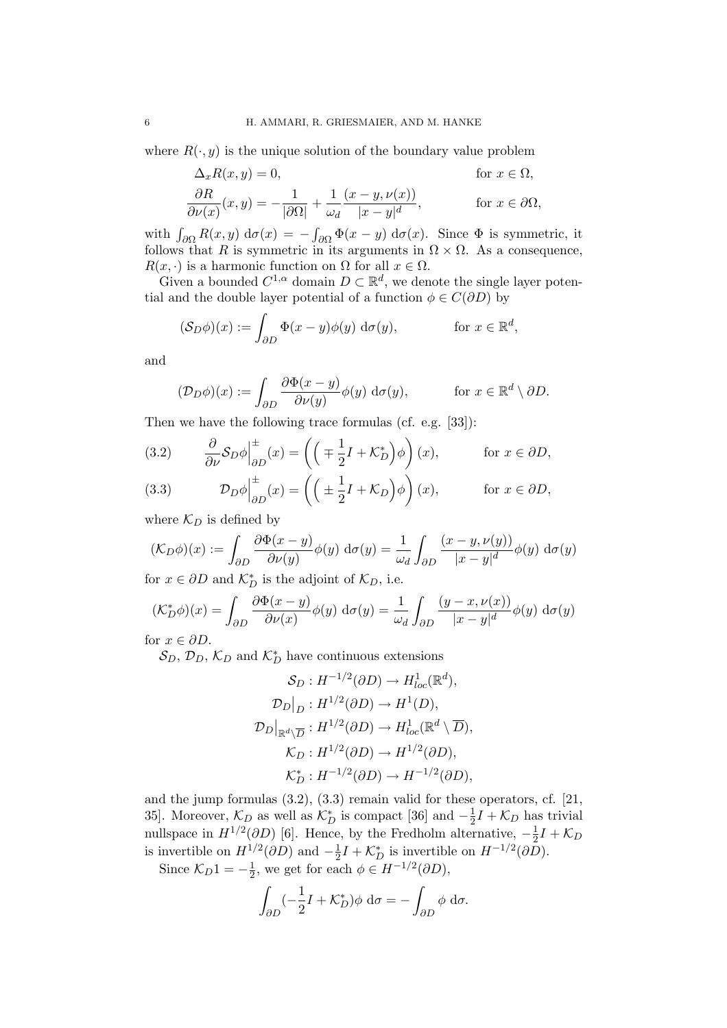where  $R(\cdot, y)$  is the unique solution of the boundary value problem

$$
\Delta_x R(x, y) = 0, \qquad \text{for } x \in \Omega,
$$
  
\n
$$
\frac{\partial R}{\partial \nu(x)}(x, y) = -\frac{1}{|\partial \Omega|} + \frac{1}{\omega_d} \frac{(x - y, \nu(x))}{|x - y|^d}, \qquad \text{for } x \in \partial \Omega,
$$

with  $\int_{\partial \Omega} R(x, y) d\sigma(x) = - \int_{\partial \Omega} \Phi(x - y) d\sigma(x)$ . Since  $\Phi$  is symmetric, it follows that R is symmetric in its arguments in  $\Omega \times \Omega$ . As a consequence,  $R(x, \cdot)$  is a harmonic function on  $\Omega$  for all  $x \in \Omega$ .

Given a bounded  $C^{1,\alpha}$  domain  $D \subset \mathbb{R}^d$ , we denote the single layer potential and the double layer potential of a function  $\phi \in C(\partial D)$  by

$$
(\mathcal{S}_D \phi)(x) := \int_{\partial D} \Phi(x - y) \phi(y) \, d\sigma(y), \qquad \text{for } x \in \mathbb{R}^d,
$$

and

$$
(\mathcal{D}_D \phi)(x) := \int_{\partial D} \frac{\partial \Phi(x - y)}{\partial \nu(y)} \phi(y) \, d\sigma(y), \quad \text{for } x \in \mathbb{R}^d \setminus \partial D.
$$

Then we have the following trace formulas (cf. e.g. [33]):

(3.2) 
$$
\frac{\partial}{\partial \nu} S_D \phi \Big|_{\partial D}^{\pm} (x) = \left( \left( \mp \frac{1}{2} I + \mathcal{K}_D^* \right) \phi \right) (x), \quad \text{for } x \in \partial D,
$$

(3.3) 
$$
\mathcal{D}_D \phi \Big|_{\partial D}^{\pm} (x) = \left( \left( \pm \frac{1}{2} I + \mathcal{K}_D \right) \phi \right) (x), \qquad \text{for } x \in \partial D,
$$

where  $\mathcal{K}_D$  is defined by

$$
(\mathcal{K}_D \phi)(x) := \int_{\partial D} \frac{\partial \Phi(x - y)}{\partial \nu(y)} \phi(y) \, d\sigma(y) = \frac{1}{\omega_d} \int_{\partial D} \frac{(x - y, \nu(y))}{|x - y|^d} \phi(y) \, d\sigma(y)
$$

for  $x \in \partial D$  and  $\mathcal{K}_D^*$  is the adjoint of  $\mathcal{K}_D$ , i.e.

$$
(\mathcal{K}_D^*\phi)(x) = \int_{\partial D} \frac{\partial \Phi(x - y)}{\partial \nu(x)} \phi(y) \, d\sigma(y) = \frac{1}{\omega_d} \int_{\partial D} \frac{(y - x, \nu(x))}{|x - y|^d} \phi(y) \, d\sigma(y)
$$

for  $x \in \partial D$ .

 $\mathcal{S}_D, \mathcal{D}_D, \mathcal{K}_D$  and  $\mathcal{K}_D^*$  have continuous extensions

$$
\mathcal{S}_D: H^{-1/2}(\partial D) \to H^1_{loc}(\mathbb{R}^d),
$$
  
\n
$$
\mathcal{D}_D|_D: H^{1/2}(\partial D) \to H^1(D),
$$
  
\n
$$
\mathcal{D}_D|_{\mathbb{R}^d \setminus \overline{D}}: H^{1/2}(\partial D) \to H^1_{loc}(\mathbb{R}^d \setminus \overline{D}),
$$
  
\n
$$
\mathcal{K}_D: H^{1/2}(\partial D) \to H^{1/2}(\partial D),
$$
  
\n
$$
\mathcal{K}_D^*: H^{-1/2}(\partial D) \to H^{-1/2}(\partial D),
$$

and the jump formulas (3.2), (3.3) remain valid for these operators, cf. [21, 35]. Moreover,  $\mathcal{K}_D$  as well as  $\mathcal{K}_D^*$  is compact [36] and  $-\frac{1}{2}$  $\frac{1}{2}I + \mathcal{K}_D$  has trivial nullspace in  $H^{1/2}(\partial D)$  [6]. Hence, by the Fredholm alternative,  $-\frac{1}{2}$  $\frac{1}{2}I + \mathcal{K}_D$ is invertible on  $H^{1/2}(\partial D)$  and  $-\frac{1}{2}$  $\frac{1}{2}I + \mathcal{K}_D^*$  is invertible on  $H^{-1/2}(\partial D)$ .

Since  $\mathcal{K}_D 1 = -\frac{1}{2}$  $\frac{1}{2}$ , we get for each  $\phi \in H^{-1/2}(\partial D)$ ,

$$
\int_{\partial D} \left( -\frac{1}{2} I + \mathcal{K}_D^* \right) \phi \, d\sigma = -\int_{\partial D} \phi \, d\sigma.
$$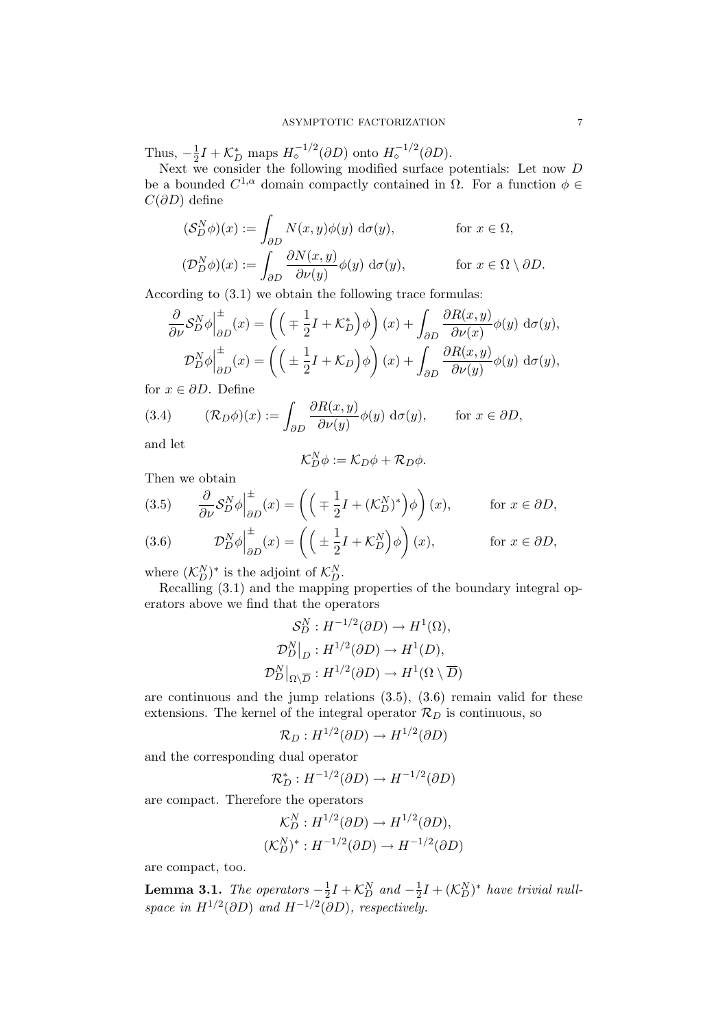Thus,  $-\frac{1}{2}$  $\frac{1}{2}I + \mathcal{K}_D^*$  maps  $H_{\diamond}^{-1/2}(\partial D)$  onto  $H_{\diamond}^{-1/2}(\partial D)$ .

Next we consider the following modified surface potentials: Let now D be a bounded  $C^{1,\alpha}$  domain compactly contained in  $\Omega$ . For a function  $\phi \in$  $C(\partial D)$  define

$$
\begin{aligned} (\mathcal{S}_D^N \phi)(x) &:= \int_{\partial D} N(x, y) \phi(y) \, \mathrm{d}\sigma(y), & \text{for } x \in \Omega, \\ (\mathcal{D}_D^N \phi)(x) &:= \int_{\partial D} \frac{\partial N(x, y)}{\partial \nu(y)} \phi(y) \, \mathrm{d}\sigma(y), & \text{for } x \in \Omega \setminus \partial D. \end{aligned}
$$

According to (3.1) we obtain the following trace formulas:

$$
\frac{\partial}{\partial \nu} S_D^N \phi \Big|_{\partial D}^{\pm} (x) = \left( \left( \mp \frac{1}{2} I + \mathcal{K}_D^* \right) \phi \right) (x) + \int_{\partial D} \frac{\partial R(x, y)}{\partial \nu(x)} \phi(y) \, d\sigma(y),
$$
  

$$
\mathcal{D}_D^N \phi \Big|_{\partial D}^{\pm} (x) = \left( \left( \pm \frac{1}{2} I + \mathcal{K}_D \right) \phi \right) (x) + \int_{\partial D} \frac{\partial R(x, y)}{\partial \nu(y)} \phi(y) \, d\sigma(y),
$$

for  $x \in \partial D$ . Define

(3.4) 
$$
(\mathcal{R}_D \phi)(x) := \int_{\partial D} \frac{\partial R(x, y)}{\partial \nu(y)} \phi(y) \, d\sigma(y), \quad \text{for } x \in \partial D,
$$

and let

$$
\mathcal{K}_D^N \phi := \mathcal{K}_D \phi + \mathcal{R}_D \phi.
$$

Then we obtain

(3.5) 
$$
\frac{\partial}{\partial \nu} S_D^N \phi \Big|_{\partial D}^{\pm} (x) = \left( \left( \mp \frac{1}{2} I + (\mathcal{K}_D^N)^* \right) \phi \right) (x), \quad \text{for } x \in \partial D,
$$
  
(3.6) 
$$
D_N \phi \Big|_{\pm}^{\pm} (x) = \left( \left( \pm \frac{1}{2} I + (\mathcal{K}_D^N)^* \right) \phi \right) (x), \quad \text{for } x \in \partial D,
$$

(3.6) 
$$
\mathcal{D}_D^N \phi \Big|_{\partial D}^{\pm} (x) = \left( \left( \pm \frac{1}{2} I + \mathcal{K}_D^N \right) \phi \right) (x), \qquad \text{for } x \in \partial D,
$$

where  $(\mathcal{K}_D^N)^*$  is the adjoint of  $\mathcal{K}_D^N$ .

Recalling (3.1) and the mapping properties of the boundary integral operators above we find that the operators

$$
\mathcal{S}_D^N : H^{-1/2}(\partial D) \to H^1(\Omega),
$$
  

$$
\mathcal{D}_D^N \big|_D : H^{1/2}(\partial D) \to H^1(D),
$$
  

$$
\mathcal{D}_D^N \big|_{\Omega \setminus \overline{D}} : H^{1/2}(\partial D) \to H^1(\Omega \setminus \overline{D})
$$

are continuous and the jump relations (3.5), (3.6) remain valid for these extensions. The kernel of the integral operator  $\mathcal{R}_D$  is continuous, so

$$
\mathcal{R}_D: H^{1/2}(\partial D) \to H^{1/2}(\partial D)
$$

and the corresponding dual operator

$$
\mathcal{R}_D^*: H^{-1/2}(\partial D) \to H^{-1/2}(\partial D)
$$

are compact. Therefore the operators

$$
\mathcal{K}_D^N : H^{1/2}(\partial D) \to H^{1/2}(\partial D),
$$
  

$$
(\mathcal{K}_D^N)^* : H^{-1/2}(\partial D) \to H^{-1/2}(\partial D)
$$

are compact, too.

**Lemma 3.1.** The operators  $-\frac{1}{2}$  $\frac{1}{2}I + \mathcal{K}_D^N$  and  $-\frac{1}{2}$  $\frac{1}{2}I + (\mathcal{K}_D^N)^*$  have trivial nullspace in  $H^{1/2}(\partial D)$  and  $H^{-1/2}(\partial D)$ , respectively.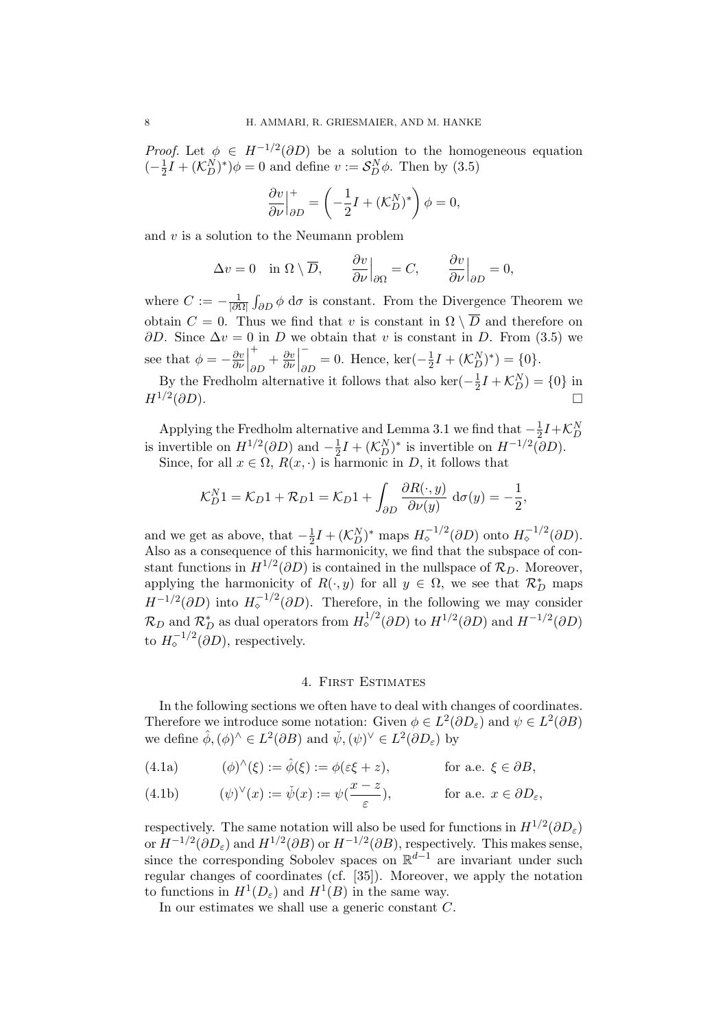*Proof.* Let  $\phi \in H^{-1/2}(\partial D)$  be a solution to the homogeneous equation  $(-\frac{1}{2})$  $\frac{1}{2}I + (\mathcal{K}_D^N)^*)\phi = 0$  and define  $v := \mathcal{S}_D^N\phi$ . Then by (3.5)

$$
\left. \frac{\partial v}{\partial \nu} \right|_{\partial D}^{+} = \left( -\frac{1}{2} I + (\mathcal{K}_D^N)^* \right) \phi = 0,
$$

and  $v$  is a solution to the Neumann problem

$$
\Delta v = 0 \quad \text{in } \Omega \setminus \overline{D}, \qquad \frac{\partial v}{\partial \nu}\Big|_{\partial \Omega} = C, \qquad \frac{\partial v}{\partial \nu}\Big|_{\partial D} = 0,
$$

where  $C := -\frac{1}{\log n}$  $\frac{1}{|\partial Ω|}$  ∫ $\partial D$   $\phi$  dσ is constant. From the Divergence Theorem we obtain  $C = 0$ . Thus we find that v is constant in  $\Omega \setminus \overline{D}$  and therefore on  $\partial D$ . Since  $\Delta v = 0$  in D we obtain that v is constant in D. From (3.5) we see that  $\phi = -\frac{\partial v}{\partial \nu}$ ∂ν +  $rac{\partial v}{\partial D} + \frac{\partial v}{\partial \nu}$ ∂ν −  $_{\partial D}$  = 0. Hence, ker( $-\frac{1}{2}$  $\frac{1}{2}I + (\mathcal{K}_D^N)^* = \{0\}.$ 

By the Fredholm alternative it follows that also ker $\left(-\frac{1}{2}\right)$  $\frac{1}{2}I + \mathcal{K}_D^N$  = {0} in  $H^{1/2}(\partial D)$ .  $( \partial D).$ 

Applying the Fredholm alternative and Lemma 3.1 we find that  $-\frac{1}{2}$  $\frac{1}{2}I + \mathcal{K}_D^N$ is invertible on  $H^{1/2}(\partial D)$  and  $-\frac{1}{2}I + (\mathcal{K}_D^N)^*$  is invertible on  $H^{-1/2}(\partial D)$ . Since, for all  $x \in \Omega$ ,  $R(x, \cdot)$  is harmonic in D, it follows that

$$
\mathcal{K}_D^N 1 = \mathcal{K}_D 1 + \mathcal{R}_D 1 = \mathcal{K}_D 1 + \int_{\partial D} \frac{\partial R(\cdot, y)}{\partial \nu(y)} d\sigma(y) = -\frac{1}{2},
$$

and we get as above, that  $-\frac{1}{2}$  $\frac{1}{2}I + (\mathcal{K}_D^N)^*$  maps  $H_{\diamond}^{-1/2}(\partial D)$  onto  $H_{\diamond}^{-1/2}(\partial D)$ . Also as a consequence of this harmonicity, we find that the subspace of constant functions in  $H^{1/2}(\partial D)$  is contained in the nullspace of  $\mathcal{R}_D$ . Moreover, applying the harmonicity of  $R(\cdot, y)$  for all  $y \in \Omega$ , we see that  $\mathcal{R}_D^*$  maps  $H^{-1/2}(\partial D)$  into  $H^{-1/2}_{\circ}(\partial D)$ . Therefore, in the following we may consider  $\mathcal{R}_D$  and  $\mathcal{R}_D^*$  as dual operators from  $H^{1/2}_\diamond(\partial D)$  to  $H^{1/2}(\partial D)$  and  $H^{-1/2}(\partial D)$ to  $H_{\diamond}^{-1/2}(\partial D)$ , respectively.

#### 4. First Estimates

In the following sections we often have to deal with changes of coordinates. Therefore we introduce some notation: Given  $\phi \in L^2(\partial D_\varepsilon)$  and  $\psi \in L^2(\partial B)$ we define  $\hat{\phi}, (\phi)^\wedge \in L^2(\partial B)$  and  $\check{\psi}, (\psi)^\vee \in L^2(\partial D_\varepsilon)$  by

(4.1a) 
$$
(\phi)^{\wedge}(\xi) := \hat{\phi}(\xi) := \phi(\varepsilon \xi + z), \quad \text{for a.e. } \xi \in \partial B,
$$

(4.1b) 
$$
(\psi)^{\vee}(x) := \check{\psi}(x) := \psi(\frac{x-z}{\varepsilon}), \qquad \text{for a.e. } x \in \partial D_{\varepsilon},
$$

respectively. The same notation will also be used for functions in  $H^{1/2}(\partial D_{\varepsilon})$ or  $H^{-1/2}(\partial D_{\varepsilon})$  and  $H^{1/2}(\partial B)$  or  $H^{-1/2}(\partial B)$ , respectively. This makes sense, since the corresponding Sobolev spaces on  $\mathbb{R}^{d-1}$  are invariant under such regular changes of coordinates (cf. [35]). Moreover, we apply the notation to functions in  $H^1(D_\varepsilon)$  and  $H^1(B)$  in the same way.

In our estimates we shall use a generic constant C.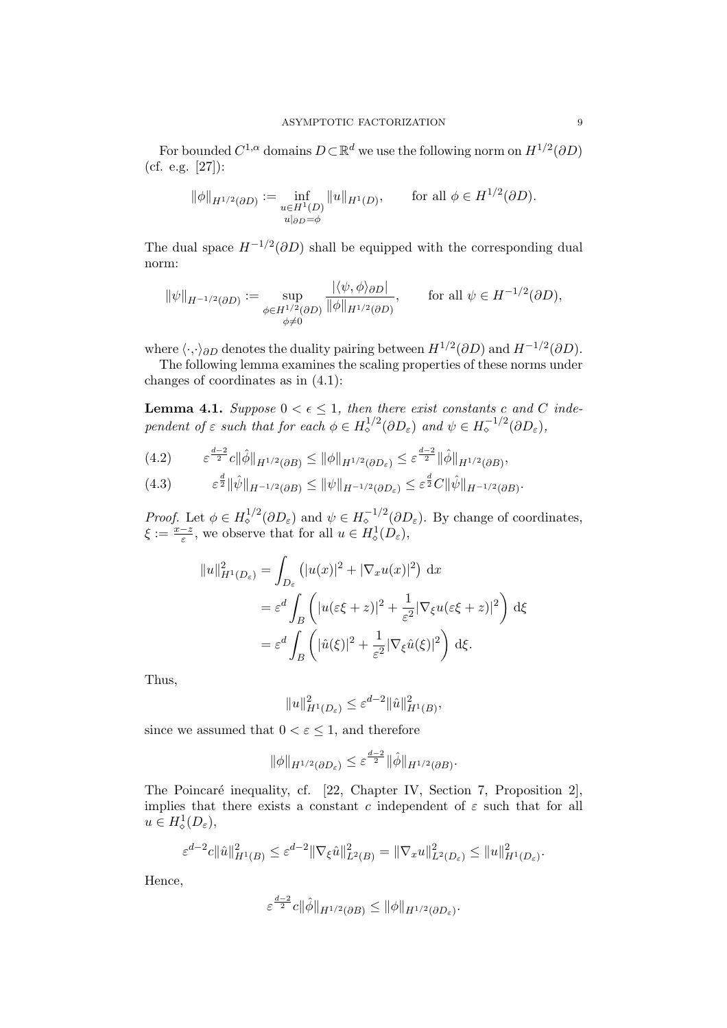For bounded  $C^{1,\alpha}$  domains  $D \subset \mathbb{R}^d$  we use the following norm on  $H^{1/2}(\partial D)$ (cf. e.g. [27]):

$$
\|\phi\|_{H^{1/2}(\partial D)} := \inf_{\substack{u \in H^1(D) \\ u|_{\partial D} = \phi}} \|u\|_{H^1(D)}, \quad \text{for all } \phi \in H^{1/2}(\partial D).
$$

The dual space  $H^{-1/2}(\partial D)$  shall be equipped with the corresponding dual norm:

$$
\|\psi\|_{H^{-1/2}(\partial D)} := \sup_{\substack{\phi \in H^{1/2}(\partial D) \\ \phi \neq 0}} \frac{|\langle \psi, \phi \rangle_{\partial D}|}{\|\phi\|_{H^{1/2}(\partial D)}}, \quad \text{for all } \psi \in H^{-1/2}(\partial D),
$$

where  $\langle \cdot, \cdot \rangle_{\partial D}$  denotes the duality pairing between  $H^{1/2}(\partial D)$  and  $H^{-1/2}(\partial D)$ .

The following lemma examines the scaling properties of these norms under changes of coordinates as in (4.1):

**Lemma 4.1.** Suppose  $0 < \epsilon \leq 1$ , then there exist constants c and C independent of  $\varepsilon$  such that for each  $\phi \in H_{\diamond}^{1/2}(\partial D_{\varepsilon})$  and  $\psi \in H_{\diamond}^{-1/2}(\partial D_{\varepsilon})$ ,

$$
(4.2) \qquad \varepsilon^{\frac{d-2}{2}}c\|\hat{\phi}\|_{H^{1/2}(\partial B)} \le \|\phi\|_{H^{1/2}(\partial D_{\varepsilon})} \le \varepsilon^{\frac{d-2}{2}}\|\hat{\phi}\|_{H^{1/2}(\partial B)},
$$

$$
(4.3) \qquad \qquad \varepsilon^{\frac{d}{2}} \|\hat{\psi}\|_{H^{-1/2}(\partial B)} \le \|\psi\|_{H^{-1/2}(\partial D_{\varepsilon})} \le \varepsilon^{\frac{d}{2}} C \|\hat{\psi}\|_{H^{-1/2}(\partial B)}.
$$

*Proof.* Let  $\phi \in H_{\diamond}^{1/2}(\partial D_{\varepsilon})$  and  $\psi \in H_{\diamond}^{-1/2}(\partial D_{\varepsilon})$ . By change of coordinates,  $\xi := \frac{x-z}{\varepsilon}$ , we observe that for all  $u \in H^1_\diamond(D_\varepsilon)$ ,

$$
||u||_{H^1(D_\varepsilon)}^2 = \int_{D_\varepsilon} (|u(x)|^2 + |\nabla_x u(x)|^2) dx
$$
  
=  $\varepsilon^d \int_B \left( |u(\varepsilon \xi + z)|^2 + \frac{1}{\varepsilon^2} |\nabla_\xi u(\varepsilon \xi + z)|^2 \right) d\xi$   
=  $\varepsilon^d \int_B \left( |\hat{u}(\xi)|^2 + \frac{1}{\varepsilon^2} |\nabla_\xi \hat{u}(\xi)|^2 \right) d\xi.$ 

Thus,

$$
||u||_{H^1(D_\varepsilon)}^2 \le \varepsilon^{d-2} ||\hat{u}||_{H^1(B)}^2,
$$

since we assumed that  $0 < \varepsilon \leq 1$ , and therefore

$$
\|\phi\|_{H^{1/2}(\partial D_{\varepsilon})}\leq \varepsilon^{\frac{d-2}{2}}\|\hat{\phi}\|_{H^{1/2}(\partial B)}.
$$

The Poincaré inequality, cf. [22, Chapter IV, Section 7, Proposition 2], implies that there exists a constant c independent of  $\varepsilon$  such that for all  $u \in H^1_{\diamond}(D_\varepsilon),$ 

$$
\varepsilon^{d-2}c||\hat{u}||_{H^1(B)}^2 \leq \varepsilon^{d-2}||\nabla_{\xi}\hat{u}||_{L^2(B)}^2 = ||\nabla_x u||_{L^2(D_{\varepsilon})}^2 \leq ||u||_{H^1(D_{\varepsilon})}^2.
$$

Hence,

$$
\varepsilon^{\frac{d-2}{2}}c\|\hat{\phi}\|_{H^{1/2}(\partial B)} \le \|\phi\|_{H^{1/2}(\partial D_{\varepsilon})}.
$$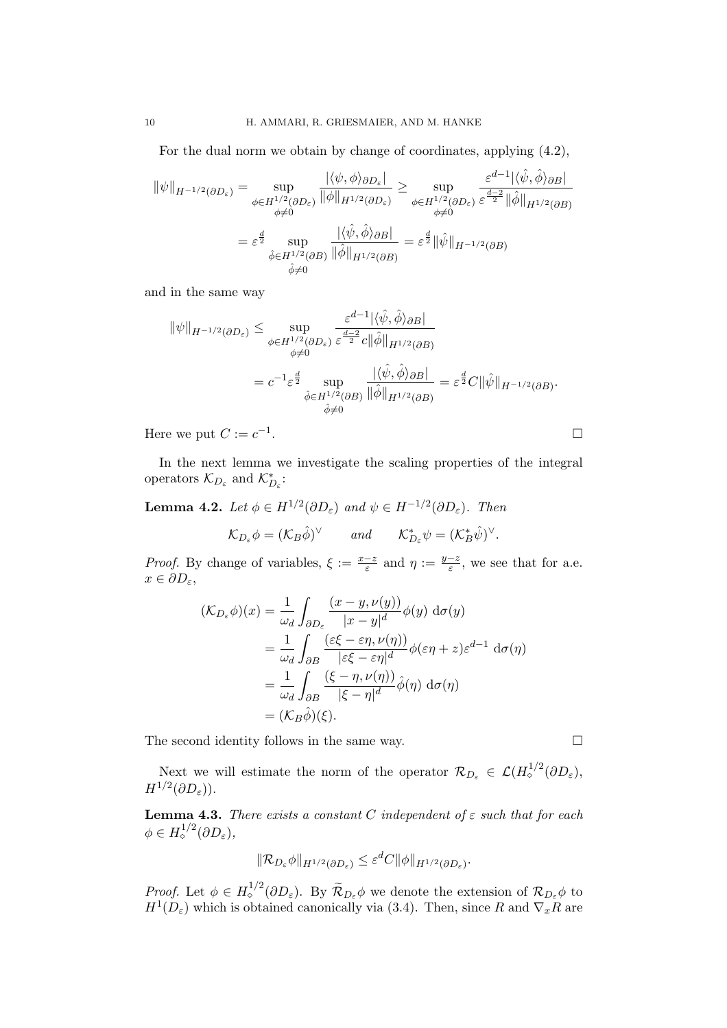For the dual norm we obtain by change of coordinates, applying (4.2),

$$
\|\psi\|_{H^{-1/2}(\partial D_{\varepsilon})} = \sup_{\substack{\phi \in H^{1/2}(\partial D_{\varepsilon}) \\ \phi \neq 0}} \frac{|\langle \psi, \phi \rangle_{\partial D_{\varepsilon}}|}{\|\phi\|_{H^{1/2}(\partial D_{\varepsilon})}} \ge \sup_{\substack{\phi \in H^{1/2}(\partial D_{\varepsilon}) \\ \phi \neq 0}} \frac{\varepsilon^{d-1} |\langle \hat{\psi}, \hat{\phi} \rangle_{\partial B}|}{\varepsilon^{\frac{d-2}{2}} \|\hat{\phi}\|_{H^{1/2}(\partial B)}}}{\varepsilon^{\frac{d}{2}} \sup_{\hat{\phi} \neq 0}} \frac{\frac{|\langle \hat{\psi}, \hat{\phi} \rangle_{\partial B}|}{\|\hat{\phi}\|_{H^{1/2}(\partial B)}}}{\|\hat{\phi}\|_{H^{1/2}(\partial B)}} = \varepsilon^{\frac{d}{2}} \|\hat{\psi}\|_{H^{-1/2}(\partial B)}
$$

and in the same way

$$
\|\psi\|_{H^{-1/2}(\partial D_{\varepsilon})} \leq \sup_{\substack{\phi \in H^{1/2}(\partial D_{\varepsilon}) \\ \phi \neq 0}} \frac{\varepsilon^{d-1} |\langle \hat{\psi}, \hat{\phi} \rangle_{\partial B}|}{\varepsilon^{\frac{d-2}{2}} c \|\hat{\phi}\|_{H^{1/2}(\partial B)}} \n= c^{-1} \varepsilon^{\frac{d}{2}} \sup_{\substack{\hat{\phi} \in H^{1/2}(\partial B) \\ \hat{\phi} \neq 0}} \frac{|\langle \hat{\psi}, \hat{\phi} \rangle_{\partial B}|}{\|\hat{\phi}\|_{H^{1/2}(\partial B)}} = \varepsilon^{\frac{d}{2}} C \|\hat{\psi}\|_{H^{-1/2}(\partial B)}.
$$

.

Here we put  $C := c^{-1}$ 

In the next lemma we investigate the scaling properties of the integral operators  $\mathcal{K}_{D_{\varepsilon}}$  and  $\mathcal{K}_{D_{\varepsilon}}^{*}$ :

**Lemma 4.2.** Let  $\phi \in H^{1/2}(\partial D_{\varepsilon})$  and  $\psi \in H^{-1/2}(\partial D_{\varepsilon})$ . Then

$$
\mathcal{K}_{D_{\varepsilon}}\phi = (\mathcal{K}_B\hat{\phi})^{\vee}
$$
 and  $\mathcal{K}_{D_{\varepsilon}}^*\psi = (\mathcal{K}_B^*\hat{\psi})^{\vee}$ .

*Proof.* By change of variables,  $\xi := \frac{x-z}{\varepsilon}$  and  $\eta := \frac{y-z}{\varepsilon}$  $\frac{-z}{\varepsilon}$ , we see that for a.e.  $x \in \partial D_{\varepsilon},$ 

$$
(\mathcal{K}_{D_{\varepsilon}}\phi)(x) = \frac{1}{\omega_d} \int_{\partial D_{\varepsilon}} \frac{(x - y, \nu(y))}{|x - y|^d} \phi(y) d\sigma(y)
$$
  
\n
$$
= \frac{1}{\omega_d} \int_{\partial B} \frac{(\varepsilon \xi - \varepsilon \eta, \nu(\eta))}{|\varepsilon \xi - \varepsilon \eta|^d} \phi(\varepsilon \eta + z) \varepsilon^{d-1} d\sigma(\eta)
$$
  
\n
$$
= \frac{1}{\omega_d} \int_{\partial B} \frac{(\xi - \eta, \nu(\eta))}{|\xi - \eta|^d} \hat{\phi}(\eta) d\sigma(\eta)
$$
  
\n
$$
= (\mathcal{K}_B \hat{\phi})(\xi).
$$

The second identity follows in the same way.  $\Box$ 

Next we will estimate the norm of the operator  $\mathcal{R}_{D_{\varepsilon}} \in \mathcal{L}(H^{1/2}_{\diamond}(\partial D_{\varepsilon}),$  $H^{1/2}(\partial D_\varepsilon)).$ 

**Lemma 4.3.** There exists a constant C independent of  $\varepsilon$  such that for each  $\phi \in H^{1/2}_\diamond(\partial D_\varepsilon),$ 

$$
\|\mathcal{R}_{D_{\varepsilon}}\phi\|_{H^{1/2}(\partial D_{\varepsilon})} \leq \varepsilon^{d}C \|\phi\|_{H^{1/2}(\partial D_{\varepsilon})}.
$$

Proof. Let  $\phi \in H^{1/2}_\circ(\partial D_\varepsilon)$ . By  $\widetilde{\mathcal{R}}_{D_\varepsilon}\phi$  we denote the extension of  $\mathcal{R}_{D_\varepsilon}\phi$  to  $H^1(D_\varepsilon)$  which is obtained canonically via (3.4). Then, since R and  $\nabla_x R$  are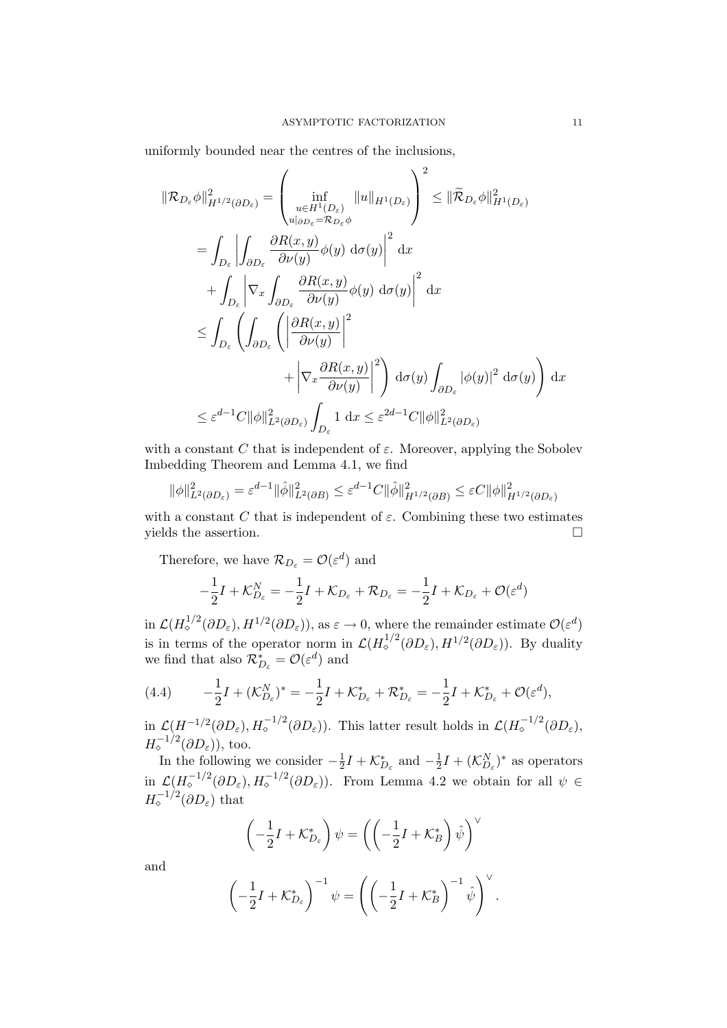uniformly bounded near the centres of the inclusions,

$$
\|\mathcal{R}_{D_{\varepsilon}}\phi\|_{H^{1/2}(\partial D_{\varepsilon})}^{2} = \left(\inf_{\substack{u \in H^{1}(D_{\varepsilon}) \\ u|_{\partial D_{\varepsilon}} = \mathcal{R}_{D_{\varepsilon}}\phi}} \|u\|_{H^{1}(D_{\varepsilon})}\right)^{2} \leq \|\widetilde{\mathcal{R}}_{D_{\varepsilon}}\phi\|_{H^{1}(D_{\varepsilon})}^{2}
$$
  
\n
$$
= \int_{D_{\varepsilon}} \left| \int_{\partial D_{\varepsilon}} \frac{\partial R(x, y)}{\partial \nu(y)} \phi(y) d\sigma(y) \right|^{2} dx
$$
  
\n
$$
+ \int_{D_{\varepsilon}} \left| \nabla_{x} \int_{\partial D_{\varepsilon}} \frac{\partial R(x, y)}{\partial \nu(y)} \phi(y) d\sigma(y) \right|^{2} dx
$$
  
\n
$$
\leq \int_{D_{\varepsilon}} \left( \int_{\partial D_{\varepsilon}} \left( \left| \frac{\partial R(x, y)}{\partial \nu(y)} \right|^{2} \right) d\sigma(y) \int_{\partial D_{\varepsilon}} |\phi(y)|^{2} d\sigma(y) \right) dx
$$
  
\n
$$
\leq \varepsilon^{d-1} C \|\phi\|_{L^{2}(\partial D_{\varepsilon})}^{2} \int_{D_{\varepsilon}} 1 dx \leq \varepsilon^{2d-1} C \|\phi\|_{L^{2}(\partial D_{\varepsilon})}^{2}
$$

with a constant C that is independent of  $\varepsilon$ . Moreover, applying the Sobolev Imbedding Theorem and Lemma 4.1, we find

$$
\|\phi\|_{L^2(\partial D_{\varepsilon})}^2 = \varepsilon^{d-1} \|\hat{\phi}\|_{L^2(\partial B)}^2 \leq \varepsilon^{d-1} C \|\hat{\phi}\|_{H^{1/2}(\partial B)}^2 \leq \varepsilon C \|\phi\|_{H^{1/2}(\partial D_{\varepsilon})}^2
$$

with a constant C that is independent of  $\varepsilon$ . Combining these two estimates yields the assertion.  $\Box$ 

Therefore, we have  $\mathcal{R}_{D_{\varepsilon}} = \mathcal{O}(\varepsilon^{d})$  and

$$
-\frac{1}{2}I + \mathcal{K}_{D_{\varepsilon}}^{N} = -\frac{1}{2}I + \mathcal{K}_{D_{\varepsilon}} + \mathcal{R}_{D_{\varepsilon}} = -\frac{1}{2}I + \mathcal{K}_{D_{\varepsilon}} + \mathcal{O}(\varepsilon^{d})
$$

in  $\mathcal{L}(H^{1/2}_{\diamond}(\partial D_{\varepsilon}), H^{1/2}(\partial D_{\varepsilon}))$ , as  $\varepsilon \to 0$ , where the remainder estimate  $\mathcal{O}(\varepsilon^{d})$ is in terms of the operator norm in  $\mathcal{L}(H^{1/2}_\circ(\partial D_\varepsilon), H^{1/2}(\partial D_\varepsilon))$ . By duality we find that also  $\mathcal{R}_{D_{\varepsilon}}^{*} = \mathcal{O}(\varepsilon^{d})$  and

(4.4) 
$$
-\frac{1}{2}I + (\mathcal{K}_{D_{\varepsilon}}^{N})^* = -\frac{1}{2}I + \mathcal{K}_{D_{\varepsilon}}^* + \mathcal{R}_{D_{\varepsilon}}^* = -\frac{1}{2}I + \mathcal{K}_{D_{\varepsilon}}^* + \mathcal{O}(\varepsilon^d),
$$

in  $\mathcal{L}(H^{-1/2}(\partial D_{\varepsilon}), H_{\circ}^{-1/2}(\partial D_{\varepsilon}))$ . This latter result holds in  $\mathcal{L}(H_{\circ}^{-1/2}(\partial D_{\varepsilon}),$  $H_{\diamond}^{-1/2}(\partial D_{\varepsilon}))$ , too.

In the following we consider  $-\frac{1}{2}$  $\frac{1}{2}I + \mathcal{K}_{D_{\varepsilon}}^{*}$  and  $-\frac{1}{2}$  $\frac{1}{2}I + (\mathcal{K}_{D_{\varepsilon}}^{N})^*$  as operators in  $\mathcal{L}(H_{\circ}^{-1/2}(\partial D_{\varepsilon}), H_{\circ}^{-1/2}(\partial D_{\varepsilon}))$ . From Lemma 4.2 we obtain for all  $\psi \in$  $H_{\diamond}^{-1/2}(\partial D_{\varepsilon})$  that

$$
\left(-\frac{1}{2}I + \mathcal{K}_{D_{\varepsilon}}^{*}\right)\psi = \left(\left(-\frac{1}{2}I + \mathcal{K}_{B}^{*}\right)\hat{\psi}\right)^{\vee}
$$

and

$$
\left(-\frac{1}{2}I + \mathcal{K}_{D_{\varepsilon}}^{*}\right)^{-1} \psi = \left(\left(-\frac{1}{2}I + \mathcal{K}_{B}^{*}\right)^{-1} \hat{\psi}\right)^{\vee}.
$$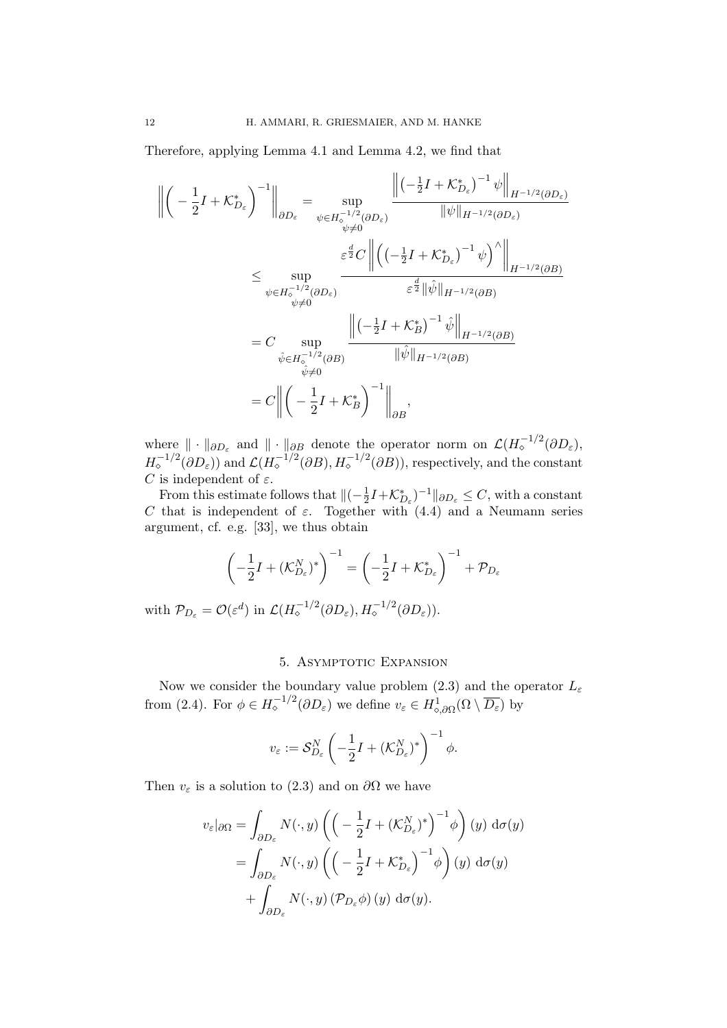Therefore, applying Lemma 4.1 and Lemma 4.2, we find that

$$
\left\| \left( -\frac{1}{2}I + \mathcal{K}_{D_{\varepsilon}}^{*} \right)^{-1} \right\|_{\partial D_{\varepsilon}} = \sup_{\psi \in H_{\circ}^{-1/2}(\partial D_{\varepsilon})} \frac{\left\| \left( -\frac{1}{2}I + \mathcal{K}_{D_{\varepsilon}}^{*} \right)^{-1} \psi \right\|_{H^{-1/2}(\partial D_{\varepsilon})}}{\|\psi\|_{H^{-1/2}(\partial D_{\varepsilon})}}
$$
\n
$$
\leq \sup_{\psi \in H_{\circ}^{-1/2}(\partial D_{\varepsilon})} \frac{\varepsilon^{\frac{d}{2}} C}{\left\| \left( \left( -\frac{1}{2}I + \mathcal{K}_{D_{\varepsilon}}^{*} \right)^{-1} \psi \right)^{\wedge} \right\|_{H^{-1/2}(\partial B)}}}{\varepsilon^{\frac{d}{2}} \|\hat{\psi}\|_{H^{-1/2}(\partial B)}}
$$
\n
$$
= C \sup_{\psi \in H_{\circ}^{-1/2}(\partial B)} \frac{\left\| \left( -\frac{1}{2}I + \mathcal{K}_{D_{\varepsilon}}^{*} \right)^{-1} \hat{\psi} \right\|_{H^{-1/2}(\partial B)}}{\|\hat{\psi}\|_{H^{-1/2}(\partial B)}}
$$
\n
$$
= C \left\| \left( -\frac{1}{2}I + \mathcal{K}_{B}^{*} \right)^{-1} \left\| \psi \right\|_{H^{-1/2}(\partial B)}
$$
\n
$$
= C \left\| \left( -\frac{1}{2}I + \mathcal{K}_{B}^{*} \right)^{-1} \right\|_{\partial B},
$$

where  $\|\cdot\|_{\partial D_{\varepsilon}}$  and  $\|\cdot\|_{\partial B}$  denote the operator norm on  $\mathcal{L}(H_{\circ}^{-1/2}(\partial D_{\varepsilon}),$  $H_{\circ}^{-1/2}(\partial D_{\varepsilon}))$  and  $\mathcal{L}(H_{\circ}^{-1/2}(\partial B), H_{\circ}^{-1/2}(\partial B))$ , respectively, and the constant C is independent of  $\varepsilon$ .

From this estimate follows that  $\Vert(-\frac{1}{2})\Vert$  $\frac{1}{2}I + \mathcal{K}_{D_{\varepsilon}}^{*})^{-1}$   $\|_{\partial D_{\varepsilon}} \leq C$ , with a constant C that is independent of  $\varepsilon$ . Together with (4.4) and a Neumann series argument, cf. e.g. [33], we thus obtain

$$
\left(-\frac{1}{2}I + (\mathcal{K}_{D_{\varepsilon}}^{N})^{*}\right)^{-1} = \left(-\frac{1}{2}I + \mathcal{K}_{D_{\varepsilon}}^{*}\right)^{-1} + \mathcal{P}_{D_{\varepsilon}}
$$

with  $\mathcal{P}_{D_{\varepsilon}} = \mathcal{O}(\varepsilon^{d})$  in  $\mathcal{L}(H_{\diamond}^{-1/2}(\partial D_{\varepsilon}), H_{\diamond}^{-1/2}(\partial D_{\varepsilon}))$ .

### 5. ASYMPTOTIC EXPANSION

Now we consider the boundary value problem (2.3) and the operator  $L_{\varepsilon}$ from (2.4). For  $\phi \in H_{\circ}^{-1/2}(\partial D_{\varepsilon})$  we define  $v_{\varepsilon} \in H_{\circ, \partial \Omega}^1(\Omega \setminus \overline{D_{\varepsilon}})$  by

$$
v_{\varepsilon} := \mathcal{S}_{D_{\varepsilon}}^N \left( -\frac{1}{2} I + (\mathcal{K}_{D_{\varepsilon}}^N)^* \right)^{-1} \phi.
$$

Then  $v_{\varepsilon}$  is a solution to (2.3) and on  $\partial\Omega$  we have

$$
v_{\varepsilon}|_{\partial\Omega} = \int_{\partial D_{\varepsilon}} N(\cdot, y) \left( \left( -\frac{1}{2} I + (\mathcal{K}_{D_{\varepsilon}}^{N})^{*} \right)^{-1} \phi \right) (y) d\sigma(y)
$$
  
= 
$$
\int_{\partial D_{\varepsilon}} N(\cdot, y) \left( \left( -\frac{1}{2} I + \mathcal{K}_{D_{\varepsilon}}^{*} \right)^{-1} \phi \right) (y) d\sigma(y)
$$
  
+ 
$$
\int_{\partial D_{\varepsilon}} N(\cdot, y) (\mathcal{P}_{D_{\varepsilon}} \phi) (y) d\sigma(y).
$$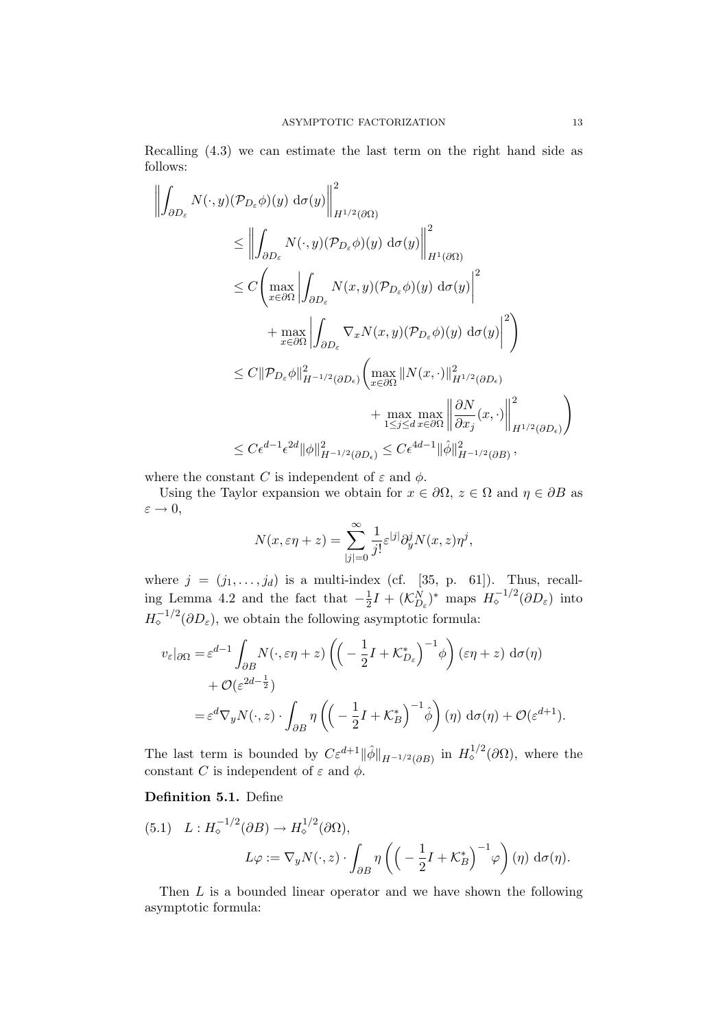Recalling (4.3) we can estimate the last term on the right hand side as follows:

$$
\left\| \int_{\partial D_{\varepsilon}} N(\cdot, y)(\mathcal{P}_{D_{\varepsilon}} \phi)(y) d\sigma(y) \right\|_{H^{1/2}(\partial \Omega)}^{2}
$$
\n
$$
\leq \left\| \int_{\partial D_{\varepsilon}} N(\cdot, y)(\mathcal{P}_{D_{\varepsilon}} \phi)(y) d\sigma(y) \right\|_{H^{1}(\partial \Omega)}^{2}
$$
\n
$$
\leq C \left( \max_{x \in \partial \Omega} \left| \int_{\partial D_{\varepsilon}} N(x, y)(\mathcal{P}_{D_{\varepsilon}} \phi)(y) d\sigma(y) \right|^{2} + \max_{x \in \partial \Omega} \left| \int_{\partial D_{\varepsilon}} \nabla_{x} N(x, y)(\mathcal{P}_{D_{\varepsilon}} \phi)(y) d\sigma(y) \right|^{2} \right)
$$
\n
$$
\leq C \|\mathcal{P}_{D_{\varepsilon}} \phi\|_{H^{-1/2}(\partial D_{\varepsilon})}^{2} \left( \max_{x \in \partial \Omega} \|N(x, \cdot)\|_{H^{1/2}(\partial D_{\varepsilon})}^{2} + \max_{1 \leq j \leq d} \max_{x \in \partial \Omega} \left\| \frac{\partial N}{\partial x_{j}}(x, \cdot) \right\|_{H^{1/2}(\partial D_{\varepsilon})}^{2} \right)
$$
\n
$$
\leq C \epsilon^{d-1} \epsilon^{2d} \|\phi\|_{H^{-1/2}(\partial D_{\varepsilon})}^{2} \leq C \epsilon^{4d-1} \|\hat{\phi}\|_{H^{-1/2}(\partial B)}^{2},
$$

where the constant C is independent of  $\varepsilon$  and  $\phi$ .

Using the Taylor expansion we obtain for  $x \in \partial\Omega$ ,  $z \in \Omega$  and  $\eta \in \partial B$  as  $\varepsilon \rightarrow 0,$ 

$$
N(x,\varepsilon \eta + z) = \sum_{|j|=0}^{\infty} \frac{1}{j!} \varepsilon^{|j|} \partial_y^j N(x,z) \eta^j,
$$

where  $j = (j_1, \ldots, j_d)$  is a multi-index (cf. [35, p. 61]). Thus, recalling Lemma 4.2 and the fact that  $-\frac{1}{2}$  $\frac{1}{2}I + (\mathcal{K}_{D_{\varepsilon}}^{N})^*$  maps  $H_{\circ}^{-1/2}(\partial D_{\varepsilon})$  into  $H_{\circ}^{-1/2}(\partial D_{\varepsilon})$ , we obtain the following asymptotic formula:

$$
v_{\varepsilon}|_{\partial\Omega} = \varepsilon^{d-1} \int_{\partial B} N(\cdot, \varepsilon \eta + z) \left( \left( -\frac{1}{2} I + \mathcal{K}_{D_{\varepsilon}}^{*} \right)^{-1} \phi \right) (\varepsilon \eta + z) d\sigma(\eta) + \mathcal{O}(\varepsilon^{2d-\frac{1}{2}}) = \varepsilon^{d} \nabla_{y} N(\cdot, z) \cdot \int_{\partial B} \eta \left( \left( -\frac{1}{2} I + \mathcal{K}_{B}^{*} \right)^{-1} \hat{\phi} \right) (\eta) d\sigma(\eta) + \mathcal{O}(\varepsilon^{d+1}).
$$

The last term is bounded by  $C\varepsilon^{d+1} \|\hat{\phi}\|_{H^{-1/2}(\partial B)}$  in  $H^{1/2}_{\diamond}(\partial \Omega)$ , where the constant C is independent of  $\varepsilon$  and  $\phi$ .

### Definition 5.1. Define

(5.1) 
$$
L: H_{\diamond}^{-1/2}(\partial B) \to H_{\diamond}^{1/2}(\partial \Omega),
$$
  
\n $L\varphi := \nabla_y N(\cdot, z) \cdot \int_{\partial B} \eta \left( \left( -\frac{1}{2}I + \mathcal{K}_B^* \right)^{-1} \varphi \right) (\eta) d\sigma(\eta).$ 

Then L is a bounded linear operator and we have shown the following asymptotic formula: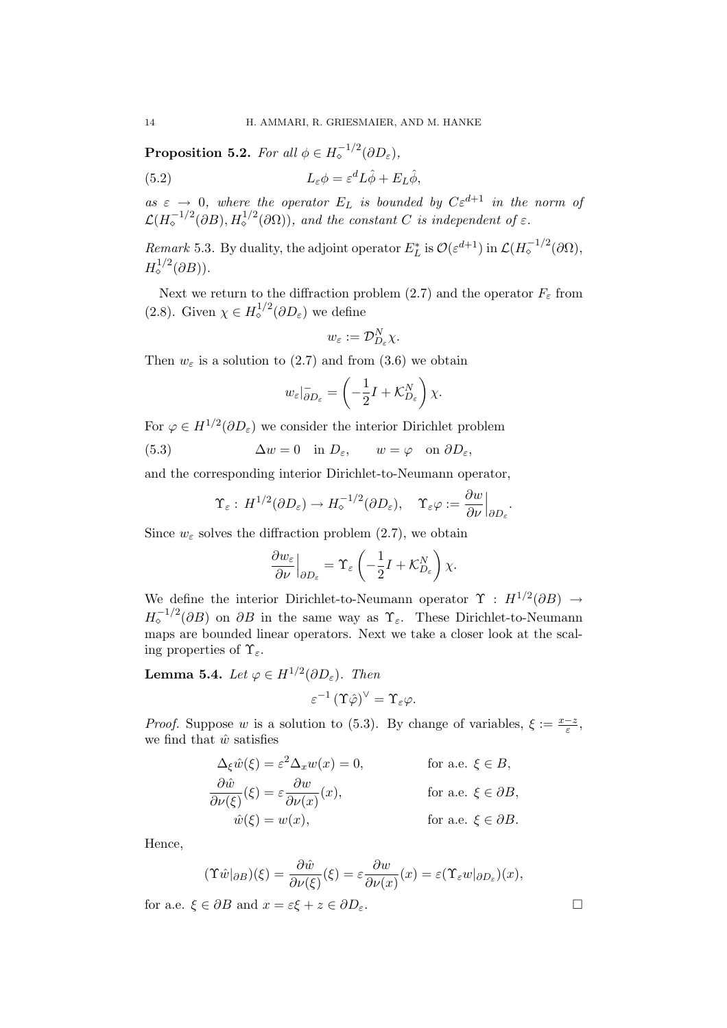**Proposition 5.2.** For all  $\phi \in H_{\diamond}^{-1/2}(\partial D_{\varepsilon}),$ 

(5.2) 
$$
L_{\varepsilon} \phi = \varepsilon^{d} L \hat{\phi} + E_{L} \hat{\phi},
$$

as  $\varepsilon \to 0$ , where the operator  $E_L$  is bounded by  $C \varepsilon^{d+1}$  in the norm of  $\mathcal{L}(H_{\diamond}^{-1/2}(\partial B), H_{\diamond}^{1/2}(\partial \Omega)),$  and the constant C is independent of  $\varepsilon$ .

Remark 5.3. By duality, the adjoint operator  $E_L^*$  is  $\mathcal{O}(\varepsilon^{d+1})$  in  $\mathcal{L}(H_o^{-1/2}(\partial\Omega),$  $H^{1/2}_\diamond(\partial B)).$ 

Next we return to the diffraction problem (2.7) and the operator  $F_{\varepsilon}$  from (2.8). Given  $\chi \in H_{\diamond}^{1/2}(\partial D_{\varepsilon})$  we define

$$
w_{\varepsilon}:=\mathcal{D}_{D_{\varepsilon}}^{N}\chi.
$$

Then  $w_{\varepsilon}$  is a solution to (2.7) and from (3.6) we obtain

$$
w_{\varepsilon}|_{\partial D_{\varepsilon}}^{-} = \left(-\frac{1}{2}I + \mathcal{K}_{D_{\varepsilon}}^{N}\right)\chi.
$$

For  $\varphi \in H^{1/2}(\partial D_{\varepsilon})$  we consider the interior Dirichlet problem

(5.3) 
$$
\Delta w = 0 \quad \text{in } D_{\varepsilon}, \qquad w = \varphi \quad \text{on } \partial D_{\varepsilon},
$$

and the corresponding interior Dirichlet-to-Neumann operator,

$$
\Upsilon_{\varepsilon}: H^{1/2}(\partial D_{\varepsilon}) \to H_{\diamond}^{-1/2}(\partial D_{\varepsilon}), \quad \Upsilon_{\varepsilon} \varphi := \frac{\partial w}{\partial \nu}\Big|_{\partial D_{\varepsilon}}
$$

Since  $w_{\varepsilon}$  solves the diffraction problem (2.7), we obtain

$$
\frac{\partial w_{\varepsilon}}{\partial \nu}\Big|_{\partial D_{\varepsilon}} = \Upsilon_{\varepsilon} \left( -\frac{1}{2}I + \mathcal{K}_{D_{\varepsilon}}^N \right) \chi.
$$

We define the interior Dirichlet-to-Neumann operator  $\Upsilon$  :  $H^{1/2}(\partial B) \rightarrow$  $H_{\circ}^{-1/2}(\partial B)$  on  $\partial B$  in the same way as  $\Upsilon_{\varepsilon}$ . These Dirichlet-to-Neumann maps are bounded linear operators. Next we take a closer look at the scaling properties of  $\Upsilon_{\varepsilon}$ .

**Lemma 5.4.** Let  $\varphi \in H^{1/2}(\partial D_{\varepsilon})$ . Then

$$
\varepsilon^{-1}\left(\Upsilon\hat{\varphi}\right)^\vee=\Upsilon_\varepsilon\varphi.
$$

*Proof.* Suppose w is a solution to (5.3). By change of variables,  $\xi := \frac{x-z}{\varepsilon}$ , we find that  $\hat{w}$  satisfies

$$
\Delta_{\xi}\hat{w}(\xi) = \varepsilon^{2}\Delta_{x}w(x) = 0, \qquad \text{for a.e. } \xi \in B,
$$
  
\n
$$
\frac{\partial \hat{w}}{\partial \nu(\xi)}(\xi) = \varepsilon \frac{\partial w}{\partial \nu(x)}(x), \qquad \text{for a.e. } \xi \in \partial B,
$$
  
\n
$$
\hat{w}(\xi) = w(x), \qquad \text{for a.e. } \xi \in \partial B.
$$

Hence,

$$
(\Upsilon \hat{w}|_{\partial B})(\xi) = \frac{\partial \hat{w}}{\partial \nu(\xi)}(\xi) = \varepsilon \frac{\partial w}{\partial \nu(x)}(x) = \varepsilon (\Upsilon_{\varepsilon} w|_{\partial D_{\varepsilon}})(x),
$$

for a.e.  $\xi \in \partial B$  and  $x = \varepsilon \xi + z \in \partial D_{\varepsilon}$ .

.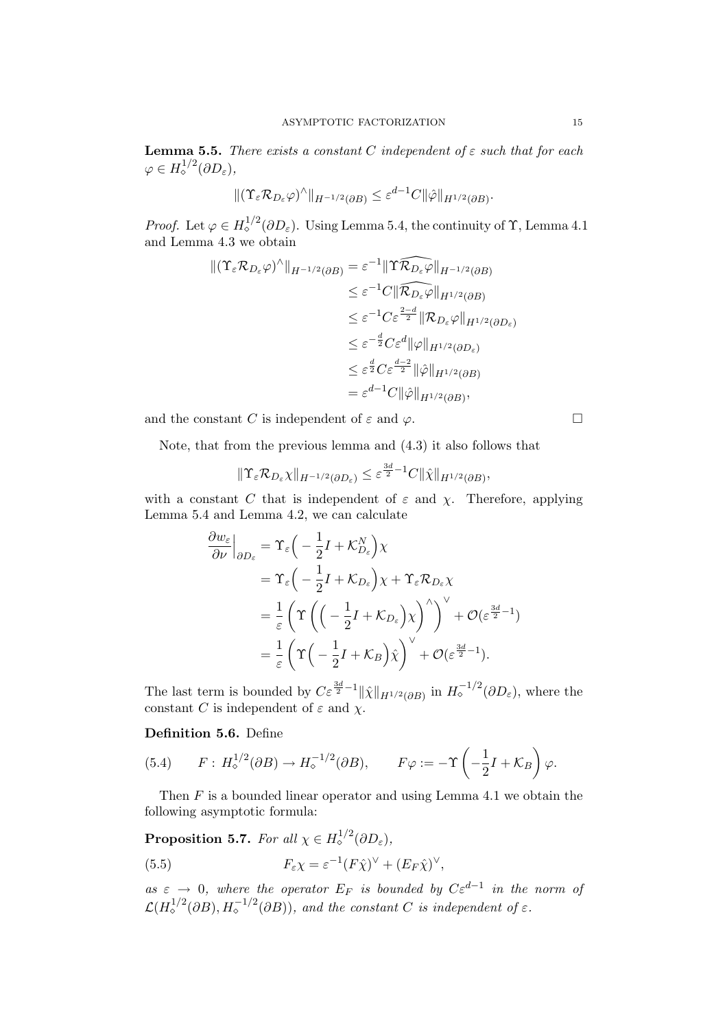**Lemma 5.5.** There exists a constant C independent of  $\varepsilon$  such that for each  $\varphi \in H^{1/2}_\diamond(\partial D_\varepsilon),$ 

$$
\|(\Upsilon_{\varepsilon}\mathcal{R}_{D_{\varepsilon}}\varphi)^{\wedge}\|_{H^{-1/2}(\partial B)} \leq \varepsilon^{d-1}C\|\hat{\varphi}\|_{H^{1/2}(\partial B)}.
$$

*Proof.* Let  $\varphi \in H_o^{1/2}(\partial D_\varepsilon)$ . Using Lemma 5.4, the continuity of  $\Upsilon$ , Lemma 4.1 and Lemma 4.3 we obtain

$$
\begin{split} \|(\Upsilon_{\varepsilon}\mathcal{R}_{D_{\varepsilon}}\varphi)^{\wedge}\|_{H^{-1/2}(\partial B)} &= \varepsilon^{-1} \|\Upsilon \widehat{\mathcal{R}_{D_{\varepsilon}}}\varphi\|_{H^{-1/2}(\partial B)} \\ &\leq \varepsilon^{-1} C \|\widehat{\mathcal{R}_{D_{\varepsilon}}}\varphi\|_{H^{1/2}(\partial B)} \\ &\leq \varepsilon^{-1} C \varepsilon^{\frac{2-d}{2}} \|\mathcal{R}_{D_{\varepsilon}}\varphi\|_{H^{1/2}(\partial D_{\varepsilon})} \\ &\leq \varepsilon^{-\frac{d}{2}} C \varepsilon^{d} \|\varphi\|_{H^{1/2}(\partial D_{\varepsilon})} \\ &\leq \varepsilon^{\frac{d}{2}} C \varepsilon^{\frac{d-2}{2}} \|\hat{\varphi}\|_{H^{1/2}(\partial B)} \\ &= \varepsilon^{d-1} C \|\hat{\varphi}\|_{H^{1/2}(\partial B)}, \end{split}
$$

and the constant C is independent of  $\varepsilon$  and  $\varphi$ .

Note, that from the previous lemma and (4.3) it also follows that

$$
\|\Upsilon_{\varepsilon}\mathcal{R}_{D_{\varepsilon}}\chi\|_{H^{-1/2}(\partial D_{\varepsilon})} \leq \varepsilon^{\frac{3d}{2}-1}C\|\hat{\chi}\|_{H^{1/2}(\partial B)},
$$

with a constant C that is independent of  $\varepsilon$  and  $\chi$ . Therefore, applying Lemma 5.4 and Lemma 4.2, we can calculate

$$
\frac{\partial w_{\varepsilon}}{\partial \nu}\Big|_{\partial D_{\varepsilon}} = \Upsilon_{\varepsilon} \Big( -\frac{1}{2}I + \mathcal{K}_{D_{\varepsilon}}^{N} \Big) \chi
$$
  
\n
$$
= \Upsilon_{\varepsilon} \Big( -\frac{1}{2}I + \mathcal{K}_{D_{\varepsilon}} \Big) \chi + \Upsilon_{\varepsilon} \mathcal{R}_{D_{\varepsilon}} \chi
$$
  
\n
$$
= \frac{1}{\varepsilon} \Big( \Upsilon \Big( \Big( -\frac{1}{2}I + \mathcal{K}_{D_{\varepsilon}} \Big) \chi \Big)^{\wedge} \Big)^{\vee} + \mathcal{O}(\varepsilon^{\frac{3d}{2}-1})
$$
  
\n
$$
= \frac{1}{\varepsilon} \Big( \Upsilon \Big( -\frac{1}{2}I + \mathcal{K}_{B} \Big) \hat{\chi} \Big)^{\vee} + \mathcal{O}(\varepsilon^{\frac{3d}{2}-1}).
$$

The last term is bounded by  $C\varepsilon^{\frac{3d}{2}-1} \|\hat{\chi}\|_{H^{1/2}(\partial B)}$  in  $H_{\circ}^{-1/2}(\partial D_{\varepsilon})$ , where the constant C is independent of  $\varepsilon$  and  $\chi$ .

Definition 5.6. Define

(5.4) 
$$
F: H_{\diamond}^{1/2}(\partial B) \to H_{\diamond}^{-1/2}(\partial B), \qquad F\varphi := -\Upsilon\left(-\frac{1}{2}I + \mathcal{K}_B\right)\varphi.
$$

Then  $F$  is a bounded linear operator and using Lemma 4.1 we obtain the following asymptotic formula:

**Proposition 5.7.** For all 
$$
\chi \in H_{\diamond}^{1/2}(\partial D_{\varepsilon}),
$$
  
(5.5) 
$$
F_{\varepsilon}\chi = \varepsilon^{-1}(F\hat{\chi})^{\vee} + (E_F\hat{\chi})^{\vee},
$$

as  $\varepsilon \to 0$ , where the operator  $E_F$  is bounded by  $C \varepsilon^{d-1}$  in the norm of  $\mathcal{L}(H^{1/2}_{\diamond}(\partial B), H^{-1/2}_{\diamond}(\partial B))$ , and the constant C is independent of  $\varepsilon$ .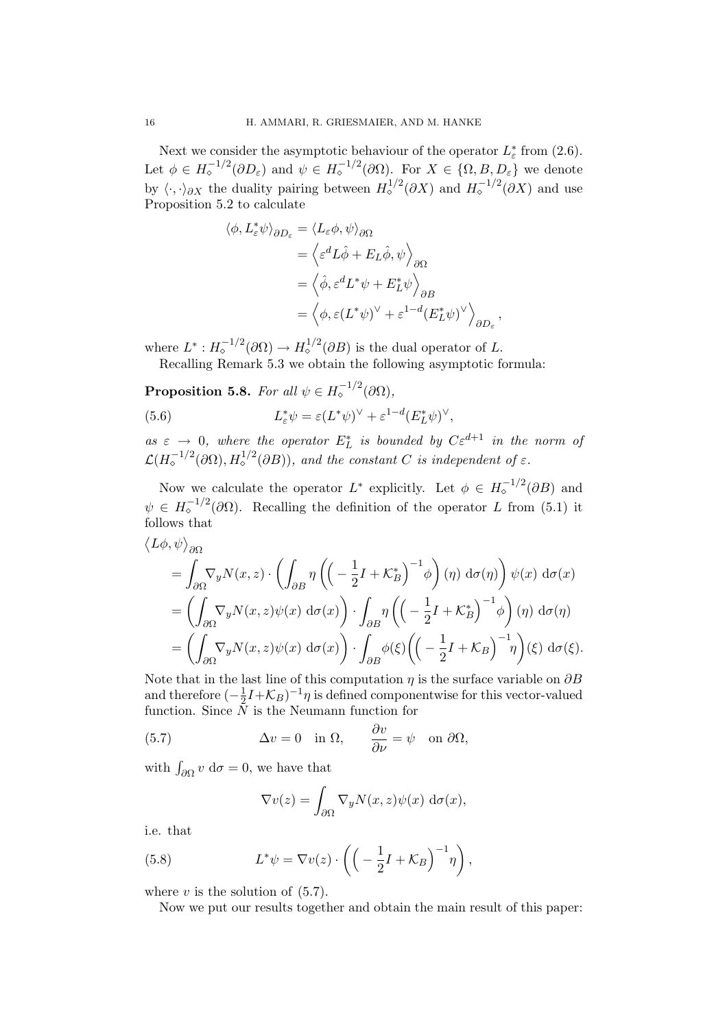Next we consider the asymptotic behaviour of the operator  $L^*_{\varepsilon}$  from (2.6). Let  $\phi \in H_{\circ}^{-1/2}(\partial D_{\varepsilon})$  and  $\psi \in H_{\circ}^{-1/2}(\partial \Omega)$ . For  $X \in \{\Omega, B, D_{\varepsilon}\}\$  we denote by  $\langle \cdot, \cdot \rangle_{\partial X}$  the duality pairing between  $H^{1/2}_\diamond(\partial X)$  and  $H^{-1/2}_\diamond(\partial X)$  and use Proposition 5.2 to calculate

$$
\langle \phi, L_{\varepsilon}^{*} \psi \rangle_{\partial D_{\varepsilon}} = \langle L_{\varepsilon} \phi, \psi \rangle_{\partial \Omega}
$$
  

$$
= \langle \varepsilon^{d} L \hat{\phi} + E_{L} \hat{\phi}, \psi \rangle_{\partial \Omega}
$$
  

$$
= \langle \hat{\phi}, \varepsilon^{d} L^{*} \psi + E_{L}^{*} \psi \rangle_{\partial B}
$$
  

$$
= \langle \phi, \varepsilon (L^{*} \psi)^{\vee} + \varepsilon^{1-d} (E_{L}^{*} \psi)^{\vee} \rangle_{\partial D_{\varepsilon}},
$$

where  $L^*: H_{\diamond}^{-1/2}(\partial \Omega) \to H_{\diamond}^{1/2}(\partial B)$  is the dual operator of L.

Recalling Remark 5.3 we obtain the following asymptotic formula:

**Proposition 5.8.** For all  $\psi \in H_{\diamond}^{-1/2}(\partial \Omega)$ ,

(5.6) 
$$
L_{\varepsilon}^* \psi = \varepsilon (L^* \psi)^{\vee} + \varepsilon^{1-d} (E_L^* \psi)^{\vee},
$$

as  $\varepsilon \to 0$ , where the operator  $E_L^*$  is bounded by  $C \varepsilon^{d+1}$  in the norm of  $\mathcal{L}(H_{\diamond}^{-1/2}(\partial \Omega), H_{\diamond}^{1/2}(\partial B))$ , and the constant C is independent of  $\varepsilon$ .

Now we calculate the operator  $L^*$  explicitly. Let  $\phi \in H_{\circ}^{-1/2}(\partial B)$  and  $\psi \in H_{\circ}^{-1/2}(\partial \Omega)$ . Recalling the definition of the operator L from (5.1) it follows that

$$
\langle L\phi, \psi \rangle_{\partial\Omega} = \int_{\partial\Omega} \nabla_y N(x, z) \cdot \left( \int_{\partial B} \eta \left( \left( -\frac{1}{2} I + \mathcal{K}_B^* \right)^{-1} \phi \right) (\eta) d\sigma(\eta) \right) \psi(x) d\sigma(x) \n= \left( \int_{\partial\Omega} \nabla_y N(x, z) \psi(x) d\sigma(x) \right) \cdot \int_{\partial B} \eta \left( \left( -\frac{1}{2} I + \mathcal{K}_B^* \right)^{-1} \phi \right) (\eta) d\sigma(\eta) \n= \left( \int_{\partial\Omega} \nabla_y N(x, z) \psi(x) d\sigma(x) \right) \cdot \int_{\partial B} \phi(\xi) \left( \left( -\frac{1}{2} I + \mathcal{K}_B \right)^{-1} \eta \right) (\xi) d\sigma(\xi).
$$

Note that in the last line of this computation  $\eta$  is the surface variable on  $\partial B$ and therefore  $\left(-\frac{1}{2}\right)$  $\frac{1}{2}I + \mathcal{K}_B$ )<sup>-1</sup> $\eta$  is defined componentwise for this vector-valued function. Since  $\tilde{N}$  is the Neumann function for

(5.7) 
$$
\Delta v = 0 \quad \text{in } \Omega, \qquad \frac{\partial v}{\partial \nu} = \psi \quad \text{on } \partial \Omega,
$$

with  $\int_{\partial \Omega} v \, d\sigma = 0$ , we have that

$$
\nabla v(z) = \int_{\partial \Omega} \nabla_y N(x, z) \psi(x) \, d\sigma(x),
$$

i.e. that

(5.8) 
$$
L^*\psi = \nabla v(z) \cdot \left( \left( -\frac{1}{2}I + \mathcal{K}_B \right)^{-1} \eta \right),
$$

where  $v$  is the solution of  $(5.7)$ .

Now we put our results together and obtain the main result of this paper: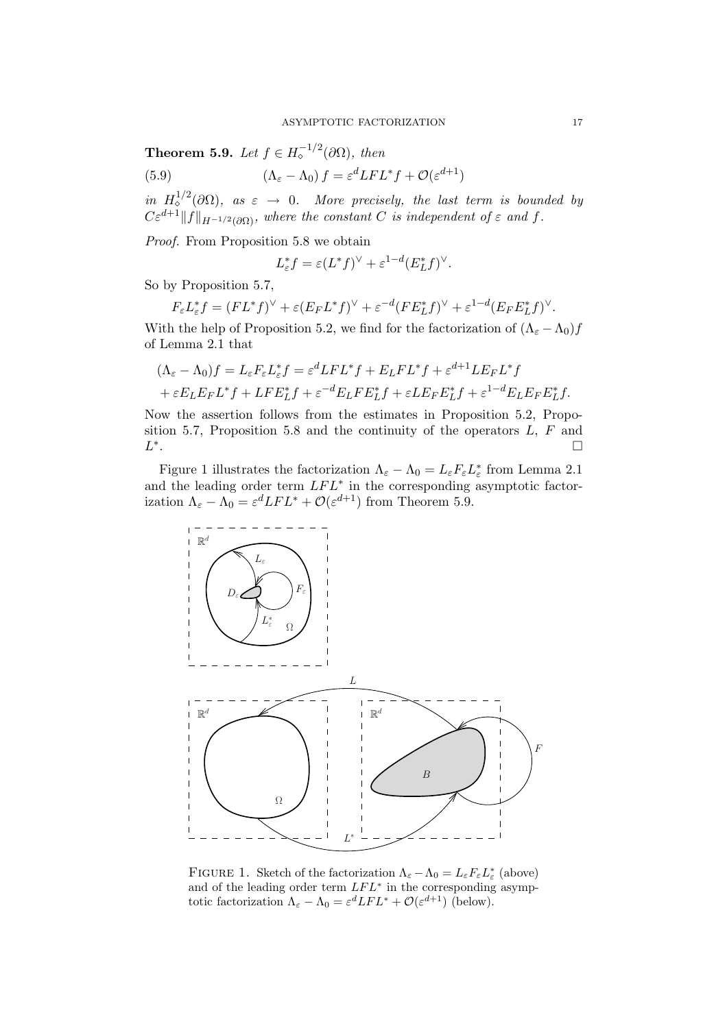**Theorem 5.9.** Let  $f \in H_{\diamond}^{-1/2}(\partial \Omega)$ , then

(5.9)  $(\Lambda_{\varepsilon} - \Lambda_0) f = \varepsilon^d LFL^* f + \mathcal{O}(\varepsilon^{d+1})$ 

in  $H^{1/2}_\diamond(\partial\Omega)$ , as  $\varepsilon \to 0$ . More precisely, the last term is bounded by  $C\varepsilon^{d+1}||f||_{H^{-1/2}(\partial\Omega)}$ , where the constant C is independent of  $\varepsilon$  and f.

Proof. From Proposition 5.8 we obtain

$$
L_{\varepsilon}^* f = \varepsilon (L^* f)^\vee + \varepsilon^{1-d} (E_L^* f)^\vee.
$$

So by Proposition 5.7,

$$
F_{\varepsilon}L_{\varepsilon}^*f = (FL^*f)^\vee + \varepsilon (E_FL^*f)^\vee + \varepsilon^{-d} (FE_L^*f)^\vee + \varepsilon^{1-d} (E_FE_L^*f)^\vee.
$$

With the help of Proposition 5.2, we find for the factorization of  $(\Lambda_{\varepsilon} - \Lambda_0)f$ of Lemma 2.1 that

$$
(\Lambda_{\varepsilon} - \Lambda_0) f = L_{\varepsilon} F_{\varepsilon} L_{\varepsilon}^* f = \varepsilon^d L F L^* f + E_L F L^* f + \varepsilon^{d+1} L E_F L^* f
$$
  
+ 
$$
\varepsilon E_L E_F L^* f + L F E_L^* f + \varepsilon^{-d} E_L F E_L^* f + \varepsilon L E_F E_L^* f + \varepsilon^{1-d} E_L E_F E_L^* f.
$$

Now the assertion follows from the estimates in Proposition 5.2, Proposition 5.7, Proposition 5.8 and the continuity of the operators  $L, F$  and L ∗ .

Figure 1 illustrates the factorization  $\Lambda_{\varepsilon} - \Lambda_0 = L_{\varepsilon} F_{\varepsilon} L_{\varepsilon}^*$  from Lemma 2.1 and the leading order term  $LFL^*$  in the corresponding asymptotic factorization  $\Lambda_{\varepsilon} - \Lambda_0 = \varepsilon^d LFL^* + \mathcal{O}(\varepsilon^{d+1})$  from Theorem 5.9.



FIGURE 1. Sketch of the factorization  $\Lambda_{\varepsilon} - \Lambda_0 = L_{\varepsilon} F_{\varepsilon} L_{\varepsilon}^*$  (above) and of the leading order term  $LFL^*$  in the corresponding asymptotic factorization  $\Lambda_{\varepsilon} - \Lambda_0 = \varepsilon^d LFL^* + \mathcal{O}(\varepsilon^{d+1})$  (below).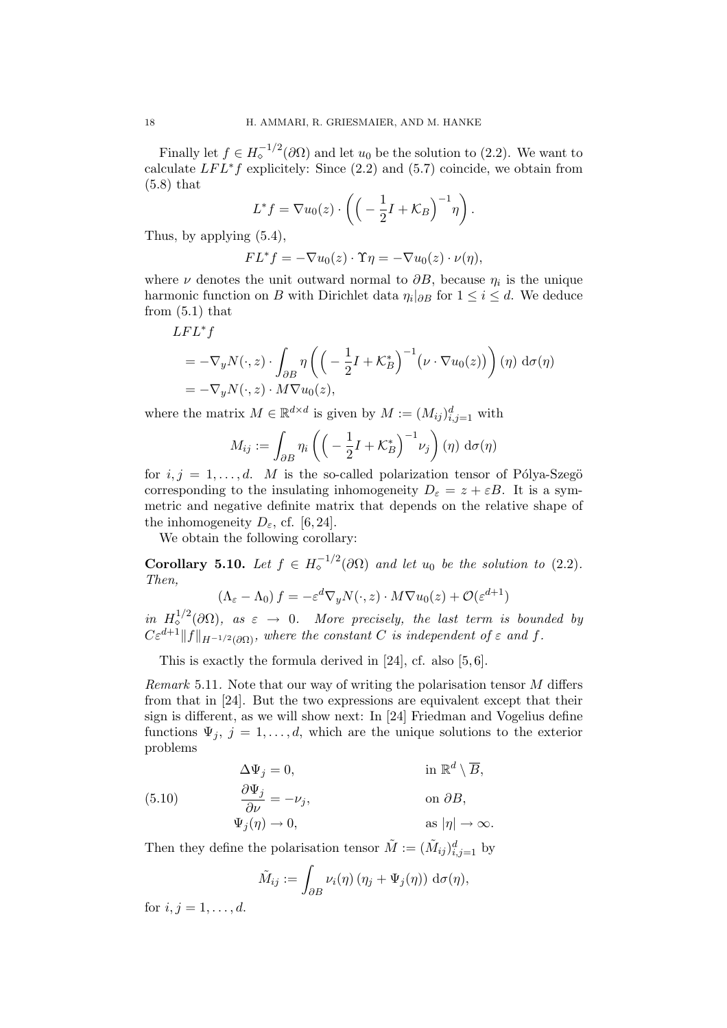Finally let  $f \in H_{\circ}^{-1/2}(\partial \Omega)$  and let  $u_0$  be the solution to (2.2). We want to calculate  $LFL*f$  explicitely: Since (2.2) and (5.7) coincide, we obtain from (5.8) that

$$
L^* f = \nabla u_0(z) \cdot \left( \left( -\frac{1}{2}I + \mathcal{K}_B \right)^{-1} \eta \right).
$$

Thus, by applying (5.4),

$$
FL^*f = -\nabla u_0(z) \cdot \Upsilon \eta = -\nabla u_0(z) \cdot \nu(\eta),
$$

where  $\nu$  denotes the unit outward normal to  $\partial B$ , because  $\eta_i$  is the unique harmonic function on B with Dirichlet data  $\eta_i|_{\partial B}$  for  $1 \leq i \leq d$ . We deduce from (5.1) that

 $LFL^*f$ 

$$
= -\nabla_y N(\cdot, z) \cdot \int_{\partial B} \eta \left( \left( -\frac{1}{2}I + \mathcal{K}_B^* \right)^{-1} \left( \nu \cdot \nabla u_0(z) \right) \right) (\eta) d\sigma(\eta)
$$
  
= -\nabla\_y N(\cdot, z) \cdot M \nabla u\_0(z),

where the matrix  $M \in \mathbb{R}^{d \times d}$  is given by  $M := (M_{ij})_{i,j=1}^d$  with

$$
M_{ij} := \int_{\partial B} \eta_i \left( \left( -\frac{1}{2}I + \mathcal{K}_B^* \right)^{-1} \nu_j \right) (\eta) \, \mathrm{d}\sigma(\eta)
$$

for  $i, j = 1, \ldots, d$ . M is the so-called polarization tensor of Pólya-Szegö corresponding to the insulating inhomogeneity  $D_{\varepsilon} = z + \varepsilon B$ . It is a symmetric and negative definite matrix that depends on the relative shape of the inhomogeneity  $D_{\varepsilon}$ , cf. [6, 24].

We obtain the following corollary:

**Corollary 5.10.** Let  $f \in H_{\circ}^{-1/2}(\partial \Omega)$  and let  $u_0$  be the solution to (2.2). Then,

$$
(\Lambda_{\varepsilon} - \Lambda_0) f = -\varepsilon^d \nabla_y N(\cdot, z) \cdot M \nabla u_0(z) + \mathcal{O}(\varepsilon^{d+1})
$$

in  $H^{1/2}_\diamond(\partial\Omega)$ , as  $\varepsilon \to 0$ . More precisely, the last term is bounded by  $C\varepsilon^{d+1}||f||_{H^{-1/2}(\partial\Omega)}$ , where the constant C is independent of  $\varepsilon$  and f.

This is exactly the formula derived in [24], cf. also [5, 6].

Remark 5.11. Note that our way of writing the polarisation tensor M differs from that in [24]. But the two expressions are equivalent except that their sign is different, as we will show next: In [24] Friedman and Vogelius define functions  $\Psi_j$ ,  $j = 1, ..., d$ , which are the unique solutions to the exterior problems

(5.10) 
$$
\Delta \Psi_j = 0, \qquad \text{in } \mathbb{R}^d \setminus \overline{B},
$$

$$
\frac{\partial \Psi_j}{\partial \nu} = -\nu_j, \qquad \text{on } \partial B,
$$

$$
\Psi_j(\eta) \to 0, \qquad \text{as } |\eta| \to \infty.
$$

Then they define the polarisation tensor  $\tilde{M} := (\tilde{M}_{ij})_{i,j=1}^d$  by

$$
\tilde{M}_{ij} := \int_{\partial B} \nu_i(\eta) \left( \eta_j + \Psi_j(\eta) \right) d\sigma(\eta),
$$

for  $i, j = 1, ..., d$ .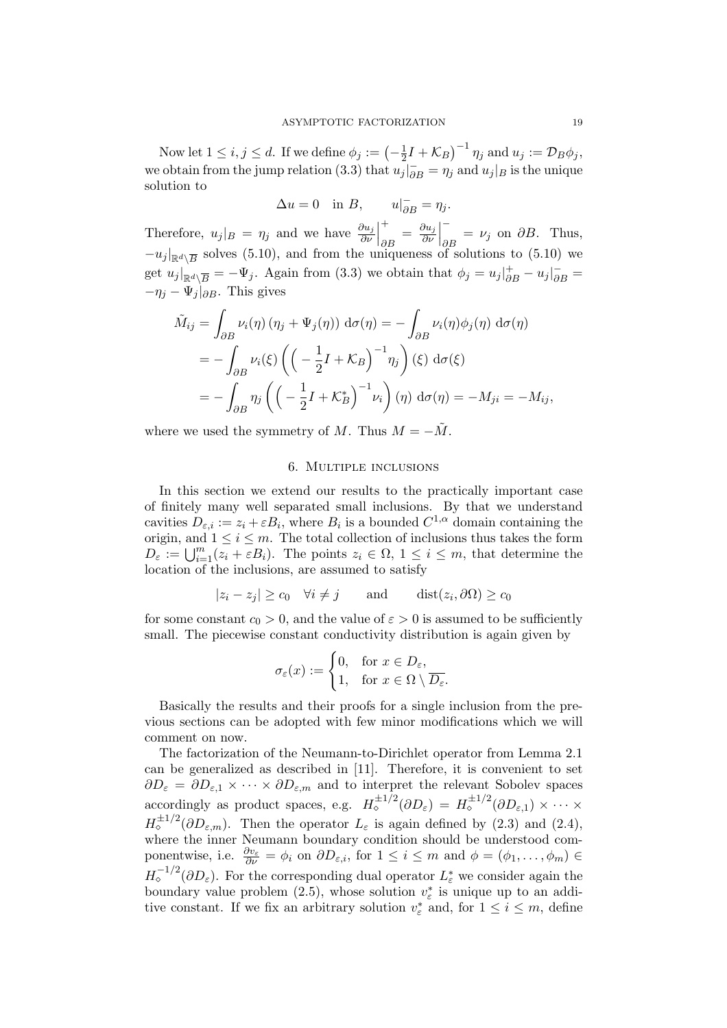Now let  $1 \leq i, j \leq d$ . If we define  $\phi_j := \left(-\frac{1}{2}\right)$  $\frac{1}{2}I + \mathcal{K}_B$  $^{-1}$   $\eta_j$  and  $u_j := \mathcal{D}_B \phi_j$ , we obtain from the jump relation (3.3) that  $u_j|_{\partial B} = \eta_j$  and  $u_j|_B$  is the unique solution to

$$
\Delta u = 0 \quad \text{in } B, \qquad u|_{\partial B}^- = \eta_j.
$$

Therefore,  $u_j|_B = \eta_j$  and we have  $\frac{\partial u_j}{\partial \nu}$  +  $\frac{\partial u_j}{\partial B} = \frac{\partial u_j}{\partial \nu}$ ∂ν −  $\partial B = \nu_j$  on  $\partial B$ . Thus,  $-u_j|_{\mathbb{R}^d \setminus \overline{B}}$  solves (5.10), and from the uniqueness of solutions to (5.10) we get  $u_j|_{\mathbb{R}^d \setminus \overline{B}} = -\Psi_j$ . Again from (3.3) we obtain that  $\phi_j = u_j|_{\partial B}^+ - u_j|_{\partial B}^- =$  $-\eta_i - \Psi_i|_{\partial B}$ . This gives

$$
\tilde{M}_{ij} = \int_{\partial B} \nu_i(\eta) (\eta_j + \Psi_j(\eta)) d\sigma(\eta) = -\int_{\partial B} \nu_i(\eta) \phi_j(\eta) d\sigma(\eta)
$$
  
= 
$$
- \int_{\partial B} \nu_i(\xi) \left( \left( -\frac{1}{2}I + \mathcal{K}_B \right)^{-1} \eta_j \right) (\xi) d\sigma(\xi)
$$
  
= 
$$
- \int_{\partial B} \eta_j \left( \left( -\frac{1}{2}I + \mathcal{K}_B^* \right)^{-1} \nu_i \right) (\eta) d\sigma(\eta) = -M_{ji} = -M_{ij},
$$

where we used the symmetry of M. Thus  $M = -\tilde{M}$ .

### 6. Multiple inclusions

In this section we extend our results to the practically important case of finitely many well separated small inclusions. By that we understand cavities  $D_{\varepsilon,i} := z_i + \varepsilon B_i$ , where  $B_i$  is a bounded  $C^{1,\alpha}$  domain containing the origin, and  $1 \leq i \leq m$ . The total collection of inclusions thus takes the form  $D_{\varepsilon} := \bigcup_{i=1}^{m} (z_i + \varepsilon B_i)$ . The points  $z_i \in \Omega$ ,  $1 \leq i \leq m$ , that determine the location of the inclusions, are assumed to satisfy

$$
|z_i - z_j| \ge c_0 \quad \forall i \ne j \quad \text{and} \quad \text{dist}(z_i, \partial \Omega) \ge c_0
$$

for some constant  $c_0 > 0$ , and the value of  $\varepsilon > 0$  is assumed to be sufficiently small. The piecewise constant conductivity distribution is again given by

$$
\sigma_{\varepsilon}(x) := \begin{cases} 0, & \text{for } x \in D_{\varepsilon}, \\ 1, & \text{for } x \in \Omega \setminus \overline{D_{\varepsilon}}. \end{cases}
$$

Basically the results and their proofs for a single inclusion from the previous sections can be adopted with few minor modifications which we will comment on now.

The factorization of the Neumann-to-Dirichlet operator from Lemma 2.1 can be generalized as described in [11]. Therefore, it is convenient to set  $\partial D_{\varepsilon} = \partial D_{\varepsilon,1} \times \cdots \times \partial D_{\varepsilon,m}$  and to interpret the relevant Sobolev spaces accordingly as product spaces, e.g.  $H_{\diamond}^{\pm 1/2}(\partial D_{\varepsilon}) = H_{\diamond}^{\pm 1/2}(\partial D_{\varepsilon,1}) \times \cdots \times$  $H_{\diamond}^{\pm 1/2}(\partial D_{\varepsilon,m})$ . Then the operator  $L_{\varepsilon}$  is again defined by (2.3) and (2.4), where the inner Neumann boundary condition should be understood componentwise, i.e.  $\frac{\partial v_{\varepsilon}}{\partial \nu} = \phi_i$  on  $\partial D_{\varepsilon,i}$ , for  $1 \leq i \leq m$  and  $\phi = (\phi_1, \dots, \phi_m) \in$  $H_{\circ}^{-1/2}(\partial D_{\varepsilon})$ . For the corresponding dual operator  $L_{\varepsilon}^{*}$  we consider again the boundary value problem (2.5), whose solution  $v_{\varepsilon}^*$  is unique up to an additive constant. If we fix an arbitrary solution  $v_{\varepsilon}^*$  and, for  $1 \leq i \leq m$ , define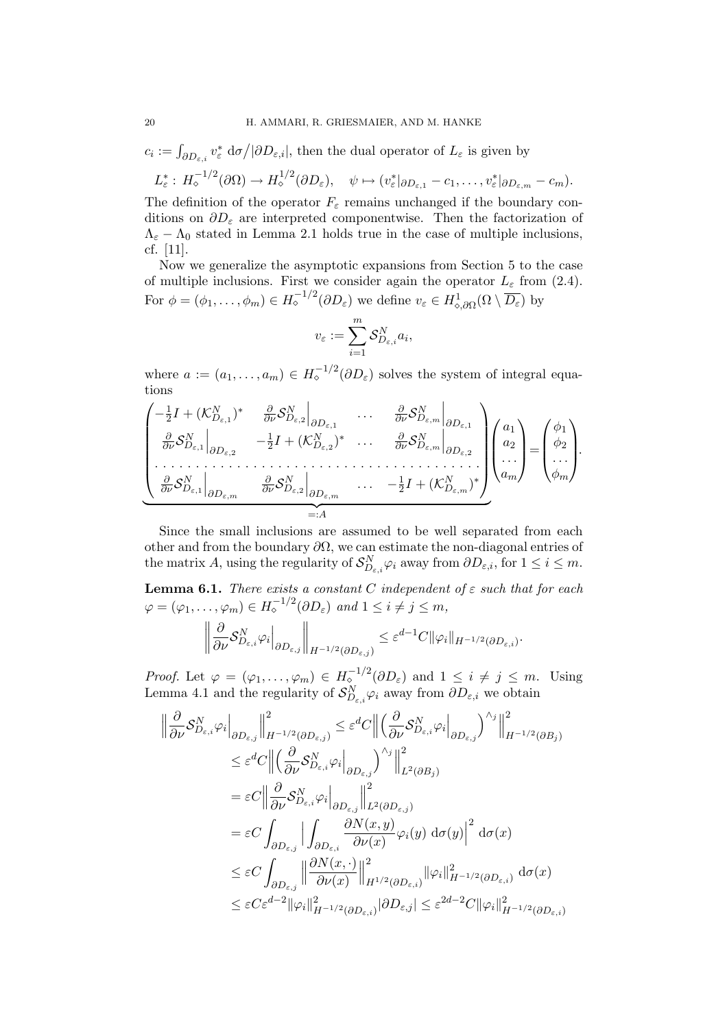$$
c_i := \int_{\partial D_{\varepsilon,i}} v_{\varepsilon}^* d\sigma / |\partial D_{\varepsilon,i}|, \text{ then the dual operator of } L_{\varepsilon} \text{ is given by}
$$
  

$$
L_{\varepsilon}^* : H_{\circ}^{-1/2}(\partial \Omega) \to H_{\circ}^{1/2}(\partial D_{\varepsilon}), \quad \psi \mapsto (v_{\varepsilon}^*|_{\partial D_{\varepsilon,1}} - c_1, \dots, v_{\varepsilon}^*|_{\partial D_{\varepsilon,m}} - c_m).
$$

The definition of the operator  $F_{\varepsilon}$  remains unchanged if the boundary conditions on  $\partial D_{\varepsilon}$  are interpreted componentwise. Then the factorization of  $\Lambda_{\varepsilon} - \Lambda_0$  stated in Lemma 2.1 holds true in the case of multiple inclusions, cf. [11].

Now we generalize the asymptotic expansions from Section 5 to the case of multiple inclusions. First we consider again the operator  $L_{\varepsilon}$  from (2.4). For  $\phi = (\phi_1, \ldots, \phi_m) \in H_{\diamond}^{-1/2}(\partial D_{\varepsilon})$  we define  $v_{\varepsilon} \in H_{\diamond, \partial \Omega}^1(\Omega \setminus \overline{D_{\varepsilon}})$  by

$$
v_{\varepsilon} := \sum_{i=1}^m \mathcal{S}_{D_{\varepsilon,i}}^N a_i,
$$

where  $a := (a_1, \ldots, a_m) \in H_{\circ}^{-1/2}(\partial D_{\varepsilon})$  solves the system of integral equations

$$
\begin{pmatrix}\n-\frac{1}{2}I + (\mathcal{K}_{D_{\varepsilon,1}}^N)^* & \frac{\partial}{\partial \nu} \mathcal{S}_{D_{\varepsilon,2}}^N \Big|_{\partial D_{\varepsilon,1}} & \dots & \frac{\partial}{\partial \nu} \mathcal{S}_{D_{\varepsilon,m}}^N \Big|_{\partial D_{\varepsilon,1}} \\
\frac{\partial}{\partial \nu} \mathcal{S}_{D_{\varepsilon,1}}^N \Big|_{\partial D_{\varepsilon,2}} & -\frac{1}{2}I + (\mathcal{K}_{D_{\varepsilon,2}}^N)^* & \dots & \frac{\partial}{\partial \nu} \mathcal{S}_{D_{\varepsilon,m}}^N \Big|_{\partial D_{\varepsilon,2}} \\
\vdots & \vdots & \vdots & \vdots \\
\frac{\partial}{\partial \nu} \mathcal{S}_{D_{\varepsilon,1}}^N \Big|_{\partial D_{\varepsilon,m}} & \frac{\partial}{\partial \nu} \mathcal{S}_{D_{\varepsilon,2}}^N \Big|_{\partial D_{\varepsilon,m}} & \dots & -\frac{1}{2}I + (\mathcal{K}_{D_{\varepsilon,m}}^N)^*\n\end{pmatrix}\n\begin{pmatrix}\na_1 \\
a_2 \\
\vdots \\
a_m\n\end{pmatrix}\n=\n\begin{pmatrix}\n\phi_1 \\
\phi_2 \\
\vdots \\
\phi_m\n\end{pmatrix}.
$$

Since the small inclusions are assumed to be well separated from each other and from the boundary  $\partial\Omega$ , we can estimate the non-diagonal entries of the matrix A, using the regularity of  $\mathcal{S}_{D_{\varepsilon,i}}^N \varphi_i$  away from  $\partial D_{\varepsilon,i}$ , for  $1 \leq i \leq m$ .

**Lemma 6.1.** There exists a constant C independent of  $\varepsilon$  such that for each  $\varphi = (\varphi_1, \ldots, \varphi_m) \in H_{\diamond}^{-1/2}(\partial D_{\varepsilon})$  and  $1 \leq i \neq j \leq m$ ,

$$
\left\|\frac{\partial}{\partial \nu} \mathcal{S}_{D_{\varepsilon,i}}^N \varphi_i\Big|_{\partial D_{\varepsilon,j}}\right\|_{H^{-1/2}(\partial D_{\varepsilon,j})}\leq \varepsilon^{d-1}C\|\varphi_i\|_{H^{-1/2}(\partial D_{\varepsilon,i})}
$$

.

*Proof.* Let  $\varphi = (\varphi_1, \ldots, \varphi_m) \in H_{\diamond}^{-1/2}(\partial D_{\varepsilon})$  and  $1 \leq i \neq j \leq m$ . Using Lemma 4.1 and the regularity of  $\mathcal{S}_{D_{\varepsilon,i}}^N \varphi_i$  away from  $\partial D_{\varepsilon,i}$  we obtain

$$
\begin{split}\n\left\|\frac{\partial}{\partial\nu}\mathcal{S}_{D_{\varepsilon,i}}^{N}\varphi_{i}\right\|_{\partial D_{\varepsilon,j}}\n\left\|^{2}_{H^{-1/2}(\partial D_{\varepsilon,j})} \leq \varepsilon^{d}C \left\|\left(\frac{\partial}{\partial\nu}\mathcal{S}_{D_{\varepsilon,i}}^{N}\varphi_{i}\right|_{\partial D_{\varepsilon,j}}\right)^{\wedge_{j}}\right\|^{2}_{H^{-1/2}(\partial B_{j})} \\
&\leq \varepsilon^{d}C \left\|\left(\frac{\partial}{\partial\nu}\mathcal{S}_{D_{\varepsilon,i}}^{N}\varphi_{i}\right|_{\partial D_{\varepsilon,j}}\right)^{\wedge_{j}}\right\|^{2}_{L^{2}(\partial B_{j})} \\
&= \varepsilon C \left\|\frac{\partial}{\partial\nu}\mathcal{S}_{D_{\varepsilon,i}}^{N}\varphi_{i}\right\|_{\partial D_{\varepsilon,j}}\n\left\|^{2}_{L^{2}(\partial D_{\varepsilon,j})} \\
&= \varepsilon C \int_{\partial D_{\varepsilon,j}} \left|\int_{\partial D_{\varepsilon,i}} \frac{\partial N(x,y)}{\partial\nu(x)}\varphi_{i}(y) d\sigma(y)\right|^{2} d\sigma(x) \\
&\leq \varepsilon C \int_{\partial D_{\varepsilon,j}} \left\|\frac{\partial N(x,\cdot)}{\partial\nu(x)}\right\|^{2}_{H^{1/2}(\partial D_{\varepsilon,i})}\|\varphi_{i}\|^{2}_{H^{-1/2}(\partial D_{\varepsilon,i})} d\sigma(x) \\
&\leq \varepsilon C \varepsilon^{d-2} \|\varphi_{i}\|^{2}_{H^{-1/2}(\partial D_{\varepsilon,i})}|\partial D_{\varepsilon,j}| \leq \varepsilon^{2d-2}C \|\varphi_{i}\|^{2}_{H^{-1/2}(\partial D_{\varepsilon,i})}\n\end{split}
$$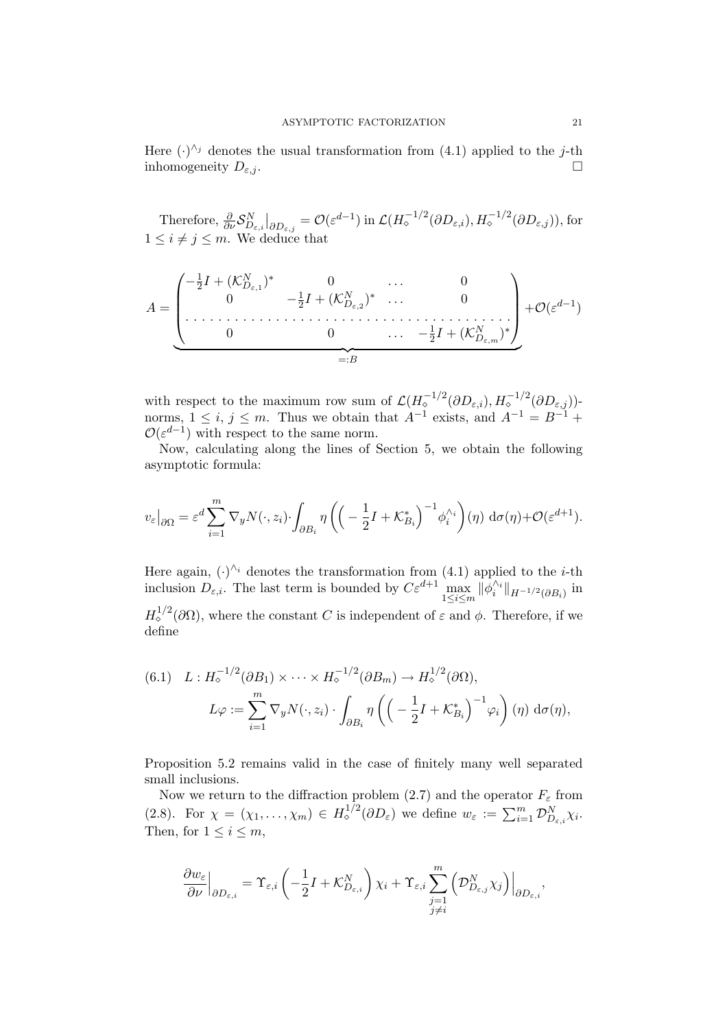Here  $(\cdot)^{\wedge_j}$  denotes the usual transformation from (4.1) applied to the j-th inhomogeneity  $D_{\varepsilon,j}$ .

Therefore,  $\frac{\partial}{\partial \nu} S_{D_{\varepsilon,i}}^N|_{\partial D_{\varepsilon,j}} = \mathcal{O}(\varepsilon^{d-1}) \text{ in } \mathcal{L}(H_{\diamond}^{-1/2}(\partial D_{\varepsilon,i}), H_{\diamond}^{-1/2}(\partial D_{\varepsilon,j}))$ , for  $1 \leq i \neq j \leq m$ . We deduce that

$$
A = \underbrace{\begin{pmatrix} -\frac{1}{2}I + (\mathcal{K}_{D_{\varepsilon,1}}^{N})^{*} & 0 & \cdots & 0 \\ 0 & -\frac{1}{2}I + (\mathcal{K}_{D_{\varepsilon,2}}^{N})^{*} & \cdots & 0 \\ \vdots & \vdots & \ddots & \vdots \\ 0 & 0 & \cdots & -\frac{1}{2}I + (\mathcal{K}_{D_{\varepsilon,m}}^{N})^{*} \end{pmatrix}}_{=:B} + \mathcal{O}(\varepsilon^{d-1})
$$

with respect to the maximum row sum of  $\mathcal{L}(H_{\diamond}^{-1/2}(\partial D_{\varepsilon,i}), H_{\diamond}^{-1/2}(\partial D_{\varepsilon,j}))$ norms,  $1 \leq i, j \leq m$ . Thus we obtain that  $A^{-1}$  exists, and  $A^{-1} = B^{-1} +$  $\mathcal{O}(\varepsilon^{d-1})$  with respect to the same norm.

Now, calculating along the lines of Section 5, we obtain the following asymptotic formula:

$$
v_{\varepsilon}\big|_{\partial\Omega} = \varepsilon^{d} \sum_{i=1}^{m} \nabla_{y} N(\cdot, z_{i}) \cdot \int_{\partial B_{i}} \eta \left( \left( -\frac{1}{2} I + \mathcal{K}_{B_{i}}^{*} \right)^{-1} \phi_{i}^{\wedge_{i}} \right) (\eta) \, d\sigma(\eta) + \mathcal{O}(\varepsilon^{d+1}).
$$

Here again,  $(\cdot)^{\wedge_i}$  denotes the transformation from (4.1) applied to the *i*-th inclusion  $D_{\varepsilon,i}$ . The last term is bounded by  $C\varepsilon^{d+1} \max_{1 \le i \le m} ||\phi_i^{\wedge_i}||_{H^{-1/2}(\partial B_i)}$  in  $H^{1/2}_{\diamond}(\partial\Omega)$ , where the constant C is independent of  $\varepsilon$  and  $\phi$ . Therefore, if we define

(6.1) 
$$
L: H_{\diamond}^{-1/2}(\partial B_1) \times \cdots \times H_{\diamond}^{-1/2}(\partial B_m) \to H_{\diamond}^{1/2}(\partial \Omega),
$$

$$
L\varphi := \sum_{i=1}^m \nabla_y N(\cdot, z_i) \cdot \int_{\partial B_i} \eta \left( \left( -\frac{1}{2}I + \mathcal{K}_{B_i}^* \right)^{-1} \varphi_i \right) (\eta) d\sigma(\eta),
$$

Proposition 5.2 remains valid in the case of finitely many well separated small inclusions.

Now we return to the diffraction problem (2.7) and the operator  $F_{\varepsilon}$  from (2.8). For  $\chi = (\chi_1, \ldots, \chi_m) \in H^{1/2}_\diamond(\partial D_\varepsilon)$  we define  $w_\varepsilon := \sum_{i=1}^m \mathcal{D}_{D_{\varepsilon,i}}^N \chi_i$ . Then, for  $1 \leq i \leq m$ ,

$$
\frac{\partial w_{\varepsilon}}{\partial \nu} \Big|_{\partial D_{\varepsilon,i}} = \Upsilon_{\varepsilon,i} \left( -\frac{1}{2} I + \mathcal{K}_{D_{\varepsilon,i}}^N \right) \chi_i + \Upsilon_{\varepsilon,i} \sum_{\substack{j=1 \ j \neq i}}^m \left( \mathcal{D}_{D_{\varepsilon,j}}^N \chi_j \right) \Big|_{\partial D_{\varepsilon,i}},
$$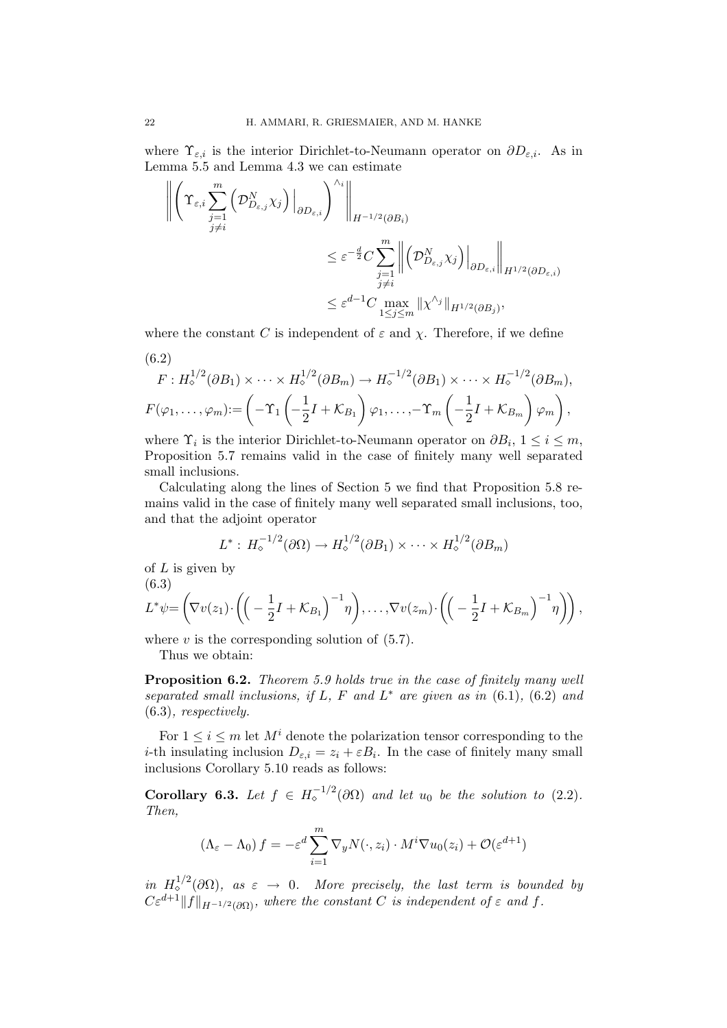where  $\Upsilon_{\varepsilon,i}$  is the interior Dirichlet-to-Neumann operator on  $\partial D_{\varepsilon,i}$ . As in Lemma 5.5 and Lemma 4.3 we can estimate

$$
\left\| \left( \Upsilon_{\varepsilon,i} \sum_{\substack{j=1 \ j \neq i}}^m \left( \mathcal{D}_{D_{\varepsilon,j}}^N \chi_j \right) \Big|_{\partial D_{\varepsilon,i}} \right)^{\wedge_i} \right\|_{H^{-1/2}(\partial B_i)}
$$
  

$$
\leq \varepsilon^{-\frac{d}{2}} C \sum_{\substack{j=1 \ j \neq i}}^m \left\| \left( \mathcal{D}_{D_{\varepsilon,j}}^N \chi_j \right) \Big|_{\partial D_{\varepsilon,i}} \right\|_{H^{1/2}(\partial D_{\varepsilon,i})}
$$
  

$$
\leq \varepsilon^{d-1} C \max_{1 \leq j \leq m} \| \chi^{\wedge_j} \|_{H^{1/2}(\partial B_j)},
$$

where the constant C is independent of  $\varepsilon$  and  $\chi$ . Therefore, if we define

(6.2)  
\n
$$
F: H_{\diamond}^{1/2}(\partial B_1) \times \cdots \times H_{\diamond}^{1/2}(\partial B_m) \to H_{\diamond}^{-1/2}(\partial B_1) \times \cdots \times H_{\diamond}^{-1/2}(\partial B_m),
$$
\n
$$
F(\varphi_1, \ldots, \varphi_m) := \left(-\Upsilon_1 \left(-\frac{1}{2}I + \mathcal{K}_{B_1}\right) \varphi_1, \ldots, -\Upsilon_m \left(-\frac{1}{2}I + \mathcal{K}_{B_m}\right) \varphi_m\right),
$$

where  $\Upsilon_i$  is the interior Dirichlet-to-Neumann operator on  $\partial B_i$ ,  $1 \leq i \leq m$ , Proposition 5.7 remains valid in the case of finitely many well separated small inclusions.

Calculating along the lines of Section 5 we find that Proposition 5.8 remains valid in the case of finitely many well separated small inclusions, too, and that the adjoint operator

$$
L^*: H_{\diamond}^{-1/2}(\partial\Omega) \to H_{\diamond}^{1/2}(\partial B_1) \times \cdots \times H_{\diamond}^{1/2}(\partial B_m)
$$

of  $L$  is given by (6.3)

$$
L^*\psi = \left(\nabla v(z_1)\cdot \left(\left(-\frac{1}{2}I + \mathcal{K}_{B_1}\right)^{-1}\eta\right), \ldots, \nabla v(z_m)\cdot \left(\left(-\frac{1}{2}I + \mathcal{K}_{B_m}\right)^{-1}\eta\right)\right),
$$

where  $v$  is the corresponding solution of  $(5.7)$ .

Thus we obtain:

Proposition 6.2. Theorem 5.9 holds true in the case of finitely many well separated small inclusions, if L, F and  $L^*$  are given as in  $(6.1)$ ,  $(6.2)$  and (6.3), respectively.

For  $1 \leq i \leq m$  let  $M^i$  denote the polarization tensor corresponding to the *i*-th insulating inclusion  $D_{\varepsilon,i} = z_i + \varepsilon B_i$ . In the case of finitely many small inclusions Corollary 5.10 reads as follows:

**Corollary 6.3.** Let  $f \in H_{\circ}^{-1/2}(\partial \Omega)$  and let  $u_0$  be the solution to (2.2). Then,

$$
(\Lambda_{\varepsilon} - \Lambda_0) f = -\varepsilon^d \sum_{i=1}^m \nabla_y N(\cdot, z_i) \cdot M^i \nabla u_0(z_i) + \mathcal{O}(\varepsilon^{d+1})
$$

in  $H^{1/2}_\diamond(\partial\Omega)$ , as  $\varepsilon \to 0$ . More precisely, the last term is bounded by  $C\varepsilon^{d+1}||f||_{H^{-1/2}(\partial\Omega)}$ , where the constant C is independent of  $\varepsilon$  and f.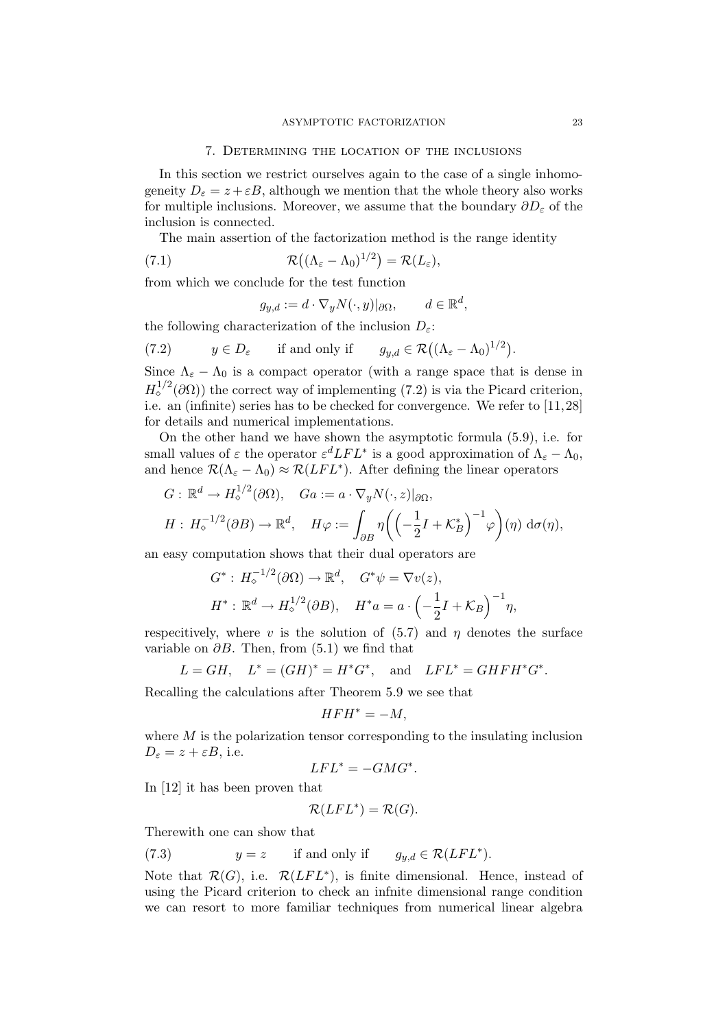In this section we restrict ourselves again to the case of a single inhomogeneity  $D_{\varepsilon} = z + \varepsilon B$ , although we mention that the whole theory also works for multiple inclusions. Moreover, we assume that the boundary  $\partial D_{\varepsilon}$  of the inclusion is connected.

The main assertion of the factorization method is the range identity

(7.1) 
$$
\mathcal{R}((\Lambda_{\varepsilon}-\Lambda_0)^{1/2})=\mathcal{R}(L_{\varepsilon}),
$$

from which we conclude for the test function

$$
g_{y,d} := d \cdot \nabla_y N(\cdot, y) |_{\partial \Omega}, \qquad d \in \mathbb{R}^d,
$$

the following characterization of the inclusion  $D_{\varepsilon}$ :

(7.2) 
$$
y \in D_{\varepsilon}
$$
 if and only if  $g_{y,d} \in \mathcal{R}((\Lambda_{\varepsilon} - \Lambda_0)^{1/2}).$ 

Since  $\Lambda_{\varepsilon} - \Lambda_0$  is a compact operator (with a range space that is dense in  $H_0^{1/2}(\partial\Omega)$ ) the correct way of implementing (7.2) is via the Picard criterion, i.e. an (infinite) series has to be checked for convergence. We refer to [11, 28] for details and numerical implementations.

On the other hand we have shown the asymptotic formula (5.9), i.e. for small values of  $\varepsilon$  the operator  $\varepsilon^d LFL^*$  is a good approximation of  $\Lambda_{\varepsilon} - \Lambda_0$ , and hence  $\mathcal{R}(\Lambda_{\varepsilon}-\Lambda_0) \approx \mathcal{R}(LFL^*)$ . After defining the linear operators

$$
G: \mathbb{R}^d \to H^{1/2}(\partial \Omega), \quad Ga := a \cdot \nabla_y N(\cdot, z)|_{\partial \Omega},
$$
  

$$
H: H^{-1/2}(\partial B) \to \mathbb{R}^d, \quad H\varphi := \int_{\partial B} \eta \left( \left( -\frac{1}{2}I + \mathcal{K}_B^* \right)^{-1} \varphi \right) (\eta) \, d\sigma(\eta),
$$

an easy computation shows that their dual operators are

$$
G^*: H_{\diamond}^{-1/2}(\partial \Omega) \to \mathbb{R}^d, \quad G^*\psi = \nabla v(z),
$$
  

$$
H^*: \mathbb{R}^d \to H_{\diamond}^{1/2}(\partial B), \quad H^*a = a \cdot \left(-\frac{1}{2}I + \mathcal{K}_B\right)^{-1} \eta,
$$

respecitively, where v is the solution of  $(5.7)$  and  $\eta$  denotes the surface variable on  $\partial B$ . Then, from (5.1) we find that

$$
L = GH, \quad L^* = (GH)^* = H^*G^*, \quad \text{and} \quad LFL^* = GHFH^*G^*.
$$

Recalling the calculations after Theorem 5.9 we see that

$$
HFH^* = -M,
$$

where  $M$  is the polarization tensor corresponding to the insulating inclusion  $D_{\varepsilon} = z + \varepsilon B$ , i.e.

$$
LFL^* = -GMG^*.
$$

In [12] it has been proven that

$$
\mathcal{R}(LFL^*) = \mathcal{R}(G).
$$

Therewith one can show that

(7.3) 
$$
y = z
$$
 if and only if  $g_{y,d} \in \mathcal{R}(LFL^*)$ .

Note that  $\mathcal{R}(G)$ , i.e.  $\mathcal{R}(LFL^*)$ , is finite dimensional. Hence, instead of using the Picard criterion to check an infnite dimensional range condition we can resort to more familiar techniques from numerical linear algebra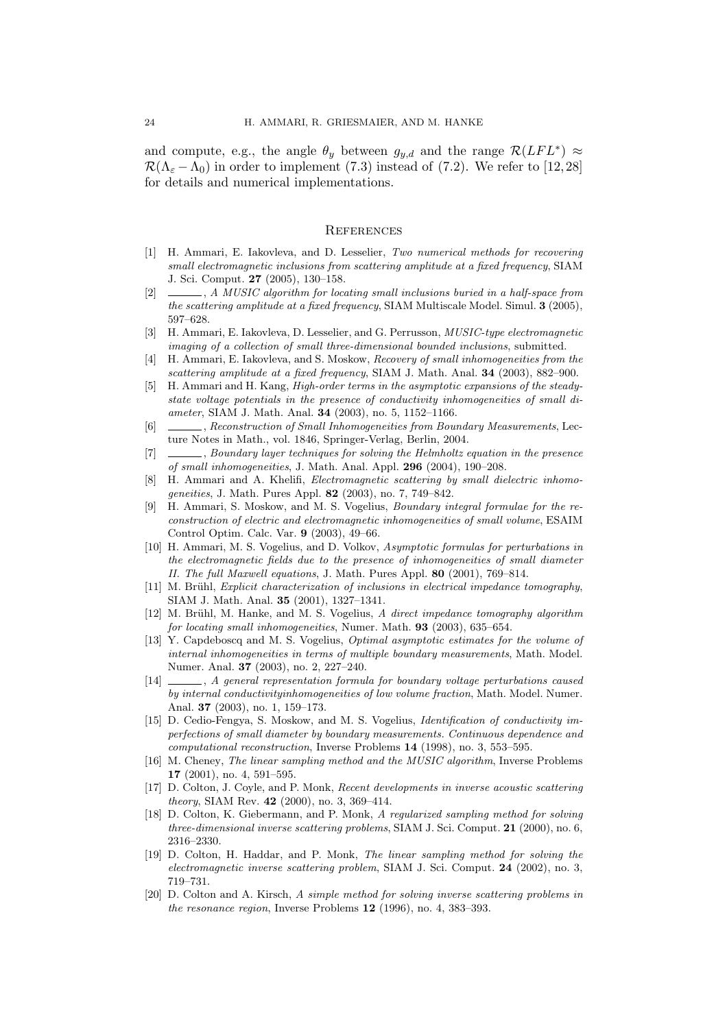and compute, e.g., the angle  $\theta_y$  between  $g_{y,d}$  and the range  $\mathcal{R}(LFL^*) \approx$  $\mathcal{R}(\Lambda_{\varepsilon} - \Lambda_0)$  in order to implement (7.3) instead of (7.2). We refer to [12,28] for details and numerical implementations.

#### **REFERENCES**

- [1] H. Ammari, E. Iakovleva, and D. Lesselier, Two numerical methods for recovering small electromagnetic inclusions from scattering amplitude at a fixed frequency, SIAM J. Sci. Comput. 27 (2005), 130–158.
- [2]  $\_\_\_\_\_$ , A MUSIC algorithm for locating small inclusions buried in a half-space from the scattering amplitude at a fixed frequency, SIAM Multiscale Model. Simul. 3 (2005), 597–628.
- [3] H. Ammari, E. Iakovleva, D. Lesselier, and G. Perrusson, *MUSIC-type electromagnetic* imaging of a collection of small three-dimensional bounded inclusions, submitted.
- [4] H. Ammari, E. Iakovleva, and S. Moskow, Recovery of small inhomogeneities from the scattering amplitude at a fixed frequency, SIAM J. Math. Anal. **34** (2003), 882–900.
- [5] H. Ammari and H. Kang, High-order terms in the asymptotic expansions of the steadystate voltage potentials in the presence of conductivity inhomogeneities of small diameter, SIAM J. Math. Anal. 34 (2003), no. 5, 1152–1166.
- [6] , Reconstruction of Small Inhomogeneities from Boundary Measurements, Lecture Notes in Math., vol. 1846, Springer-Verlag, Berlin, 2004.
- [7]  $\_\_\_\_\_\$ n, Boundary layer techniques for solving the Helmholtz equation in the presence of small inhomogeneities, J. Math. Anal. Appl. 296 (2004), 190–208.
- [8] H. Ammari and A. Khelifi, *Electromagnetic scattering by small dielectric inhomo*geneities, J. Math. Pures Appl. 82 (2003), no. 7, 749–842.
- [9] H. Ammari, S. Moskow, and M. S. Vogelius, Boundary integral formulae for the reconstruction of electric and electromagnetic inhomogeneities of small volume, ESAIM Control Optim. Calc. Var. 9 (2003), 49–66.
- [10] H. Ammari, M. S. Vogelius, and D. Volkov, Asymptotic formulas for perturbations in the electromagnetic fields due to the presence of inhomogeneities of small diameter II. The full Maxwell equations, J. Math. Pures Appl. 80 (2001), 769–814.
- [11] M. Brühl, Explicit characterization of inclusions in electrical impedance tomography, SIAM J. Math. Anal. 35 (2001), 1327–1341.
- [12] M. Brühl, M. Hanke, and M. S. Vogelius, A direct impedance tomography algorithm for locating small inhomogeneities, Numer. Math. 93 (2003), 635–654.
- [13] Y. Capdeboscq and M. S. Vogelius, Optimal asymptotic estimates for the volume of internal inhomogeneities in terms of multiple boundary measurements, Math. Model. Numer. Anal. 37 (2003), no. 2, 227–240.
- [14] , A general representation formula for boundary voltage perturbations caused by internal conductivityinhomogeneities of low volume fraction, Math. Model. Numer. Anal. 37 (2003), no. 1, 159–173.
- [15] D. Cedio-Fengya, S. Moskow, and M. S. Vogelius, Identification of conductivity imperfections of small diameter by boundary measurements. Continuous dependence and computational reconstruction, Inverse Problems 14 (1998), no. 3, 553–595.
- [16] M. Cheney, The linear sampling method and the MUSIC algorithm, Inverse Problems 17 (2001), no. 4, 591–595.
- [17] D. Colton, J. Coyle, and P. Monk, Recent developments in inverse acoustic scattering theory, SIAM Rev. 42 (2000), no. 3, 369-414.
- [18] D. Colton, K. Giebermann, and P. Monk, A regularized sampling method for solving three-dimensional inverse scattering problems, SIAM J. Sci. Comput. 21 (2000), no. 6, 2316–2330.
- [19] D. Colton, H. Haddar, and P. Monk, The linear sampling method for solving the electromagnetic inverse scattering problem, SIAM J. Sci. Comput. 24 (2002), no. 3, 719–731.
- [20] D. Colton and A. Kirsch, A simple method for solving inverse scattering problems in the resonance region, Inverse Problems 12 (1996), no. 4, 383–393.